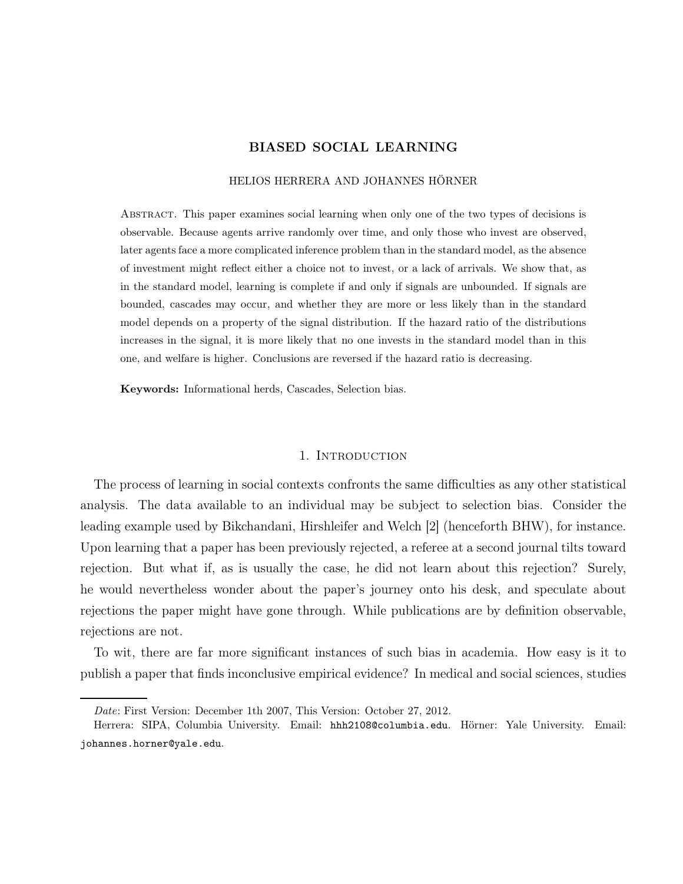# BIASED SOCIAL LEARNING

### HELIOS HERRERA AND JOHANNES HÖRNER

Abstract. This paper examines social learning when only one of the two types of decisions is observable. Because agents arrive randomly over time, and only those who invest are observed, later agents face a more complicated inference problem than in the standard model, as the absence of investment might reflect either a choice not to invest, or a lack of arrivals. We show that, as in the standard model, learning is complete if and only if signals are unbounded. If signals are bounded, cascades may occur, and whether they are more or less likely than in the standard model depends on a property of the signal distribution. If the hazard ratio of the distributions increases in the signal, it is more likely that no one invests in the standard model than in this one, and welfare is higher. Conclusions are reversed if the hazard ratio is decreasing.

Keywords: Informational herds, Cascades, Selection bias.

#### 1. INTRODUCTION

The process of learning in social contexts confronts the same difficulties as any other statistical analysis. The data available to an individual may be subject to selection bias. Consider the leading example used by Bikchandani, Hirshleifer and Welch [2] (henceforth BHW), for instance. Upon learning that a paper has been previously rejected, a referee at a second journal tilts toward rejection. But what if, as is usually the case, he did not learn about this rejection? Surely, he would nevertheless wonder about the paper's journey onto his desk, and speculate about rejections the paper might have gone through. While publications are by definition observable, rejections are not.

To wit, there are far more significant instances of such bias in academia. How easy is it to publish a paper that finds inconclusive empirical evidence? In medical and social sciences, studies

Date: First Version: December 1th 2007, This Version: October 27, 2012.

Herrera: SIPA, Columbia University. Email: hhh2108@columbia.edu. Hörner: Yale University. Email: johannes.horner@yale.edu.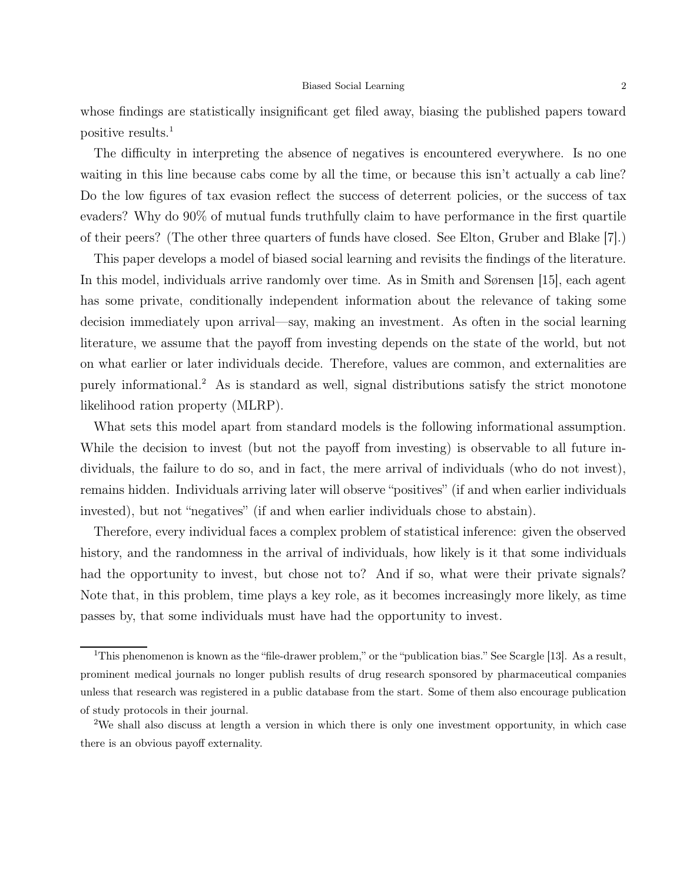whose findings are statistically insignificant get filed away, biasing the published papers toward positive results.<sup>1</sup>

The difficulty in interpreting the absence of negatives is encountered everywhere. Is no one waiting in this line because cabs come by all the time, or because this isn't actually a cab line? Do the low figures of tax evasion reflect the success of deterrent policies, or the success of tax evaders? Why do 90% of mutual funds truthfully claim to have performance in the first quartile of their peers? (The other three quarters of funds have closed. See Elton, Gruber and Blake [7].)

This paper develops a model of biased social learning and revisits the findings of the literature. In this model, individuals arrive randomly over time. As in Smith and Sørensen [15], each agent has some private, conditionally independent information about the relevance of taking some decision immediately upon arrival—say, making an investment. As often in the social learning literature, we assume that the payoff from investing depends on the state of the world, but not on what earlier or later individuals decide. Therefore, values are common, and externalities are purely informational.<sup>2</sup> As is standard as well, signal distributions satisfy the strict monotone likelihood ration property (MLRP).

What sets this model apart from standard models is the following informational assumption. While the decision to invest (but not the payoff from investing) is observable to all future individuals, the failure to do so, and in fact, the mere arrival of individuals (who do not invest), remains hidden. Individuals arriving later will observe "positives" (if and when earlier individuals invested), but not "negatives" (if and when earlier individuals chose to abstain).

Therefore, every individual faces a complex problem of statistical inference: given the observed history, and the randomness in the arrival of individuals, how likely is it that some individuals had the opportunity to invest, but chose not to? And if so, what were their private signals? Note that, in this problem, time plays a key role, as it becomes increasingly more likely, as time passes by, that some individuals must have had the opportunity to invest.

<sup>&</sup>lt;sup>1</sup>This phenomenon is known as the "file-drawer problem," or the "publication bias." See Scargle [13]. As a result, prominent medical journals no longer publish results of drug research sponsored by pharmaceutical companies unless that research was registered in a public database from the start. Some of them also encourage publication of study protocols in their journal.

<sup>2</sup>We shall also discuss at length a version in which there is only one investment opportunity, in which case there is an obvious payoff externality.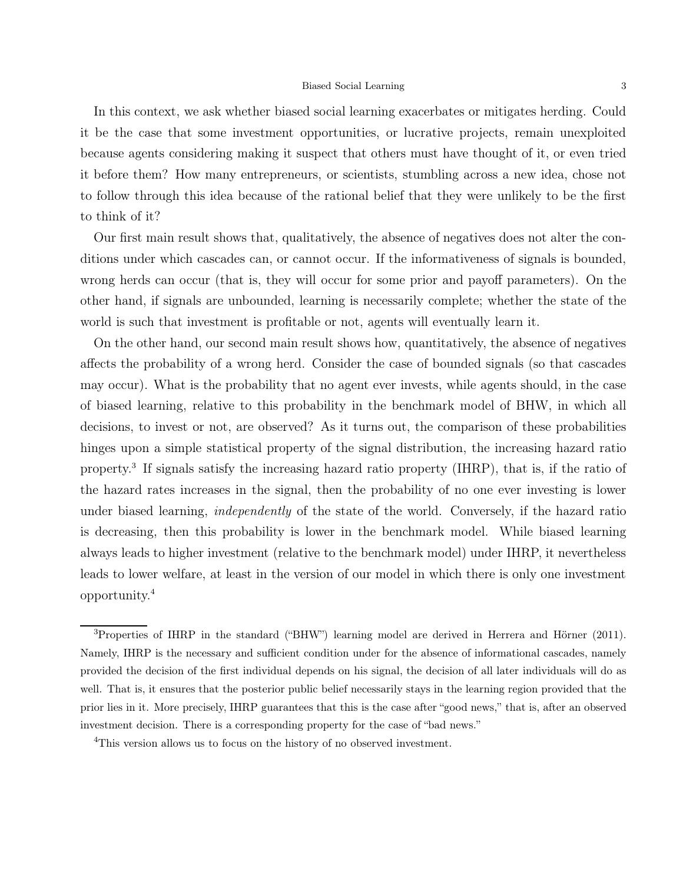In this context, we ask whether biased social learning exacerbates or mitigates herding. Could it be the case that some investment opportunities, or lucrative projects, remain unexploited because agents considering making it suspect that others must have thought of it, or even tried it before them? How many entrepreneurs, or scientists, stumbling across a new idea, chose not to follow through this idea because of the rational belief that they were unlikely to be the first to think of it?

Our first main result shows that, qualitatively, the absence of negatives does not alter the conditions under which cascades can, or cannot occur. If the informativeness of signals is bounded, wrong herds can occur (that is, they will occur for some prior and payoff parameters). On the other hand, if signals are unbounded, learning is necessarily complete; whether the state of the world is such that investment is profitable or not, agents will eventually learn it.

On the other hand, our second main result shows how, quantitatively, the absence of negatives affects the probability of a wrong herd. Consider the case of bounded signals (so that cascades may occur). What is the probability that no agent ever invests, while agents should, in the case of biased learning, relative to this probability in the benchmark model of BHW, in which all decisions, to invest or not, are observed? As it turns out, the comparison of these probabilities hinges upon a simple statistical property of the signal distribution, the increasing hazard ratio property.<sup>3</sup> If signals satisfy the increasing hazard ratio property (IHRP), that is, if the ratio of the hazard rates increases in the signal, then the probability of no one ever investing is lower under biased learning, *independently* of the state of the world. Conversely, if the hazard ratio is decreasing, then this probability is lower in the benchmark model. While biased learning always leads to higher investment (relative to the benchmark model) under IHRP, it nevertheless leads to lower welfare, at least in the version of our model in which there is only one investment opportunity.<sup>4</sup>

<sup>&</sup>lt;sup>3</sup>Properties of IHRP in the standard ("BHW") learning model are derived in Herrera and Hörner (2011). Namely, IHRP is the necessary and sufficient condition under for the absence of informational cascades, namely provided the decision of the first individual depends on his signal, the decision of all later individuals will do as well. That is, it ensures that the posterior public belief necessarily stays in the learning region provided that the prior lies in it. More precisely, IHRP guarantees that this is the case after "good news," that is, after an observed investment decision. There is a corresponding property for the case of "bad news."

<sup>&</sup>lt;sup>4</sup>This version allows us to focus on the history of no observed investment.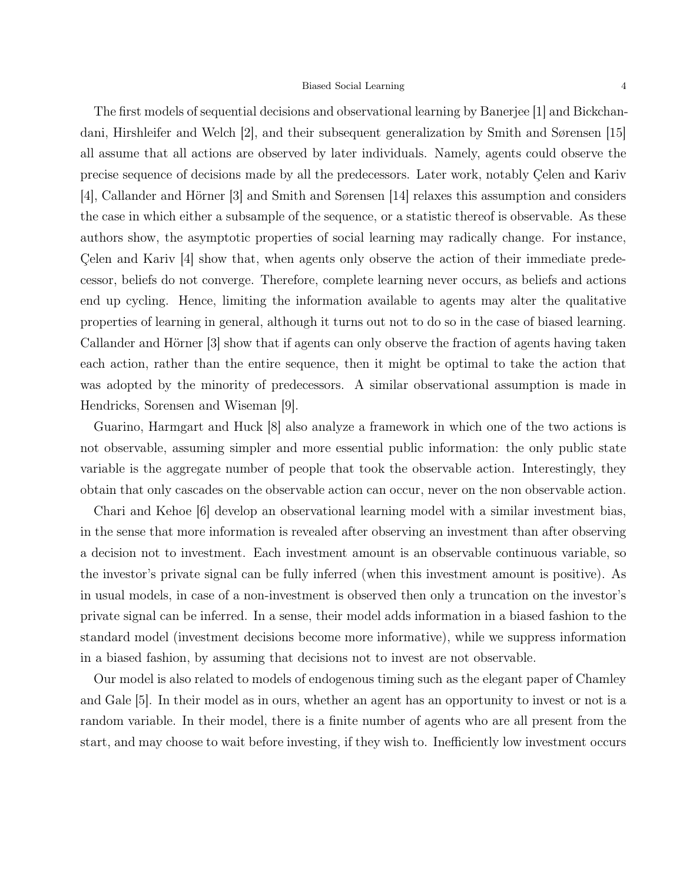The first models of sequential decisions and observational learning by Banerjee [1] and Bickchandani, Hirshleifer and Welch [2], and their subsequent generalization by Smith and Sørensen [15] all assume that all actions are observed by later individuals. Namely, agents could observe the precise sequence of decisions made by all the predecessors. Later work, notably Çelen and Kariv [4], Callander and Hörner [3] and Smith and Sørensen [14] relaxes this assumption and considers the case in which either a subsample of the sequence, or a statistic thereof is observable. As these authors show, the asymptotic properties of social learning may radically change. For instance, Çelen and Kariv [4] show that, when agents only observe the action of their immediate predecessor, beliefs do not converge. Therefore, complete learning never occurs, as beliefs and actions end up cycling. Hence, limiting the information available to agents may alter the qualitative properties of learning in general, although it turns out not to do so in the case of biased learning. Callander and Hörner [3] show that if agents can only observe the fraction of agents having taken each action, rather than the entire sequence, then it might be optimal to take the action that was adopted by the minority of predecessors. A similar observational assumption is made in Hendricks, Sorensen and Wiseman [9].

Guarino, Harmgart and Huck [8] also analyze a framework in which one of the two actions is not observable, assuming simpler and more essential public information: the only public state variable is the aggregate number of people that took the observable action. Interestingly, they obtain that only cascades on the observable action can occur, never on the non observable action.

Chari and Kehoe [6] develop an observational learning model with a similar investment bias, in the sense that more information is revealed after observing an investment than after observing a decision not to investment. Each investment amount is an observable continuous variable, so the investor's private signal can be fully inferred (when this investment amount is positive). As in usual models, in case of a non-investment is observed then only a truncation on the investor's private signal can be inferred. In a sense, their model adds information in a biased fashion to the standard model (investment decisions become more informative), while we suppress information in a biased fashion, by assuming that decisions not to invest are not observable.

Our model is also related to models of endogenous timing such as the elegant paper of Chamley and Gale [5]. In their model as in ours, whether an agent has an opportunity to invest or not is a random variable. In their model, there is a finite number of agents who are all present from the start, and may choose to wait before investing, if they wish to. Inefficiently low investment occurs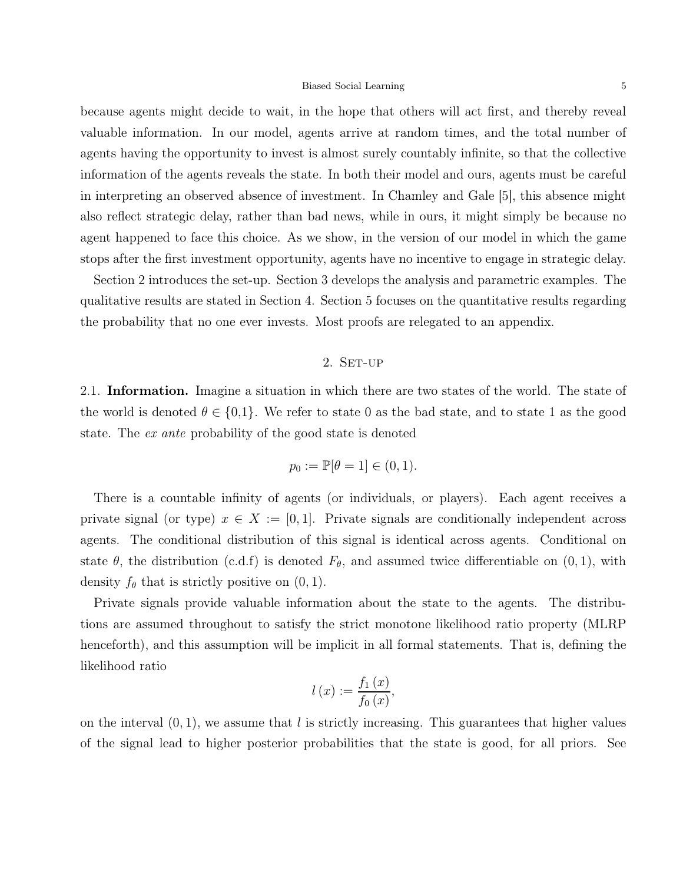because agents might decide to wait, in the hope that others will act first, and thereby reveal valuable information. In our model, agents arrive at random times, and the total number of agents having the opportunity to invest is almost surely countably infinite, so that the collective information of the agents reveals the state. In both their model and ours, agents must be careful in interpreting an observed absence of investment. In Chamley and Gale [5], this absence might also reflect strategic delay, rather than bad news, while in ours, it might simply be because no agent happened to face this choice. As we show, in the version of our model in which the game stops after the first investment opportunity, agents have no incentive to engage in strategic delay.

Section 2 introduces the set-up. Section 3 develops the analysis and parametric examples. The qualitative results are stated in Section 4. Section 5 focuses on the quantitative results regarding the probability that no one ever invests. Most proofs are relegated to an appendix.

## 2. SET-UP

2.1. **Information.** Imagine a situation in which there are two states of the world. The state of the world is denoted  $\theta \in \{0,1\}$ . We refer to state 0 as the bad state, and to state 1 as the good state. The ex ante probability of the good state is denoted

$$
p_0 := \mathbb{P}[\theta = 1] \in (0, 1).
$$

There is a countable infinity of agents (or individuals, or players). Each agent receives a private signal (or type)  $x \in X := [0, 1]$ . Private signals are conditionally independent across agents. The conditional distribution of this signal is identical across agents. Conditional on state  $\theta$ , the distribution (c.d.f) is denoted  $F_{\theta}$ , and assumed twice differentiable on  $(0, 1)$ , with density  $f_{\theta}$  that is strictly positive on  $(0, 1)$ .

Private signals provide valuable information about the state to the agents. The distributions are assumed throughout to satisfy the strict monotone likelihood ratio property (MLRP henceforth), and this assumption will be implicit in all formal statements. That is, defining the likelihood ratio

$$
l\left(x\right) := \frac{f_1\left(x\right)}{f_0\left(x\right)},
$$

on the interval  $(0, 1)$ , we assume that l is strictly increasing. This guarantees that higher values of the signal lead to higher posterior probabilities that the state is good, for all priors. See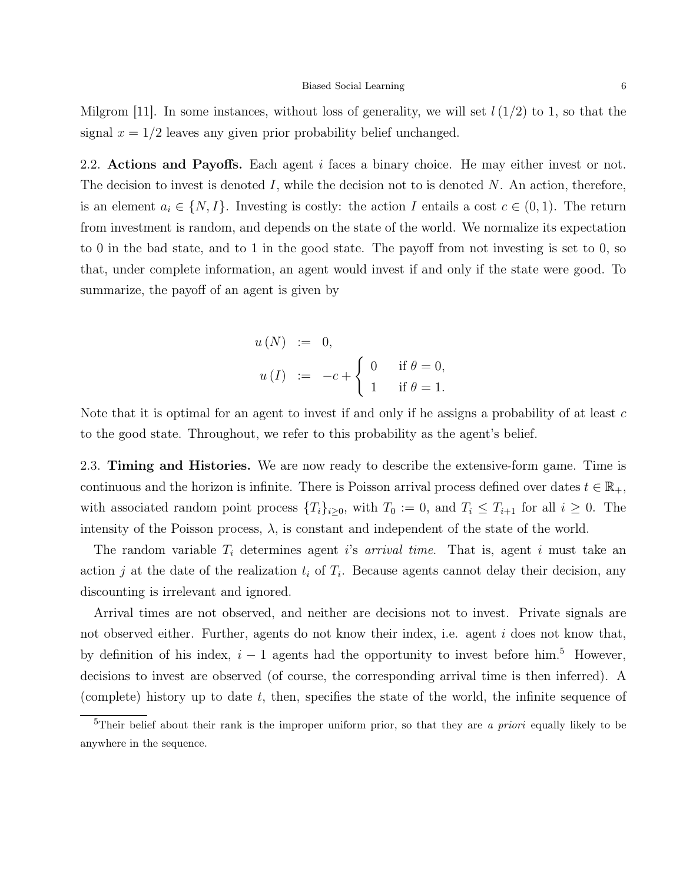Milgrom [11]. In some instances, without loss of generality, we will set  $l(1/2)$  to 1, so that the signal  $x = 1/2$  leaves any given prior probability belief unchanged.

2.2. Actions and Payoffs. Each agent i faces a binary choice. He may either invest or not. The decision to invest is denoted I, while the decision not to is denoted  $N$ . An action, therefore, is an element  $a_i \in \{N, I\}$ . Investing is costly: the action I entails a cost  $c \in (0, 1)$ . The return from investment is random, and depends on the state of the world. We normalize its expectation to 0 in the bad state, and to 1 in the good state. The payoff from not investing is set to 0, so that, under complete information, an agent would invest if and only if the state were good. To summarize, the payoff of an agent is given by

$$
u(N) := 0,
$$
  

$$
u(I) := -c + \begin{cases} 0 & \text{if } \theta = 0, \\ 1 & \text{if } \theta = 1. \end{cases}
$$

Note that it is optimal for an agent to invest if and only if he assigns a probability of at least  $c$ to the good state. Throughout, we refer to this probability as the agent's belief.

2.3. Timing and Histories. We are now ready to describe the extensive-form game. Time is continuous and the horizon is infinite. There is Poisson arrival process defined over dates  $t \in \mathbb{R}_+$ , with associated random point process  $\{T_i\}_{i\geq 0}$ , with  $T_0 := 0$ , and  $T_i \leq T_{i+1}$  for all  $i \geq 0$ . The intensity of the Poisson process,  $\lambda$ , is constant and independent of the state of the world.

The random variable  $T_i$  determines agent i's arrival time. That is, agent i must take an action j at the date of the realization  $t_i$  of  $T_i$ . Because agents cannot delay their decision, any discounting is irrelevant and ignored.

Arrival times are not observed, and neither are decisions not to invest. Private signals are not observed either. Further, agents do not know their index, i.e. agent i does not know that, by definition of his index,  $i - 1$  agents had the opportunity to invest before him.<sup>5</sup> However, decisions to invest are observed (of course, the corresponding arrival time is then inferred). A (complete) history up to date  $t$ , then, specifies the state of the world, the infinite sequence of

<sup>&</sup>lt;sup>5</sup>Their belief about their rank is the improper uniform prior, so that they are a *priori* equally likely to be anywhere in the sequence.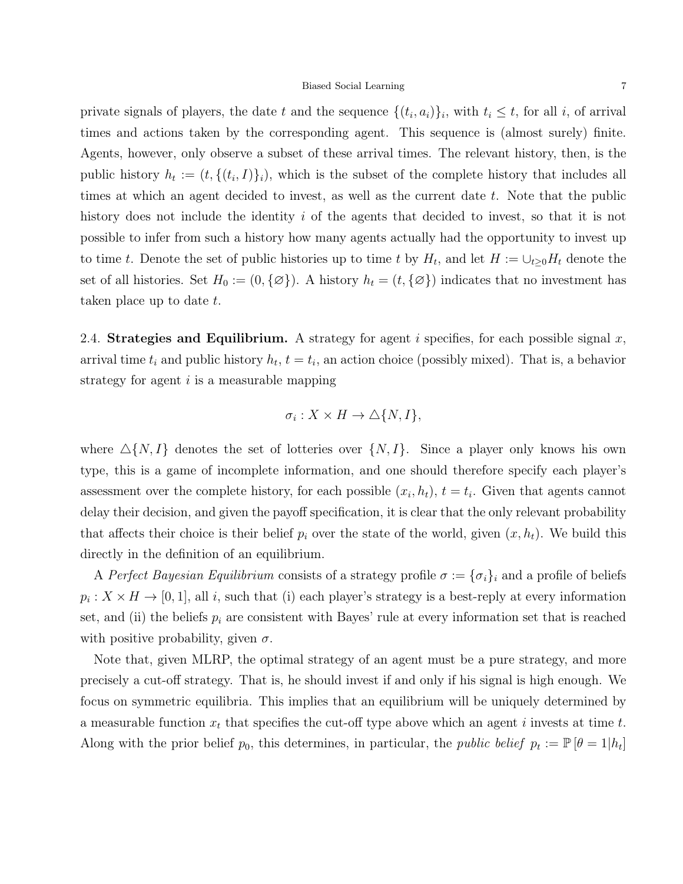private signals of players, the date t and the sequence  $\{(t_i, a_i)\}_i$ , with  $t_i \leq t$ , for all i, of arrival times and actions taken by the corresponding agent. This sequence is (almost surely) finite. Agents, however, only observe a subset of these arrival times. The relevant history, then, is the public history  $h_t := (t, \{(t_i, I)\}_i)$ , which is the subset of the complete history that includes all times at which an agent decided to invest, as well as the current date t. Note that the public history does not include the identity  $i$  of the agents that decided to invest, so that it is not possible to infer from such a history how many agents actually had the opportunity to invest up to time t. Denote the set of public histories up to time t by  $H_t$ , and let  $H := \cup_{t\geq 0} H_t$  denote the set of all histories. Set  $H_0 := (0, \{\emptyset\})$ . A history  $h_t = (t, \{\emptyset\})$  indicates that no investment has taken place up to date t.

2.4. Strategies and Equilibrium. A strategy for agent i specifies, for each possible signal x, arrival time  $t_i$  and public history  $h_t$ ,  $t = t_i$ , an action choice (possibly mixed). That is, a behavior strategy for agent  $i$  is a measurable mapping

$$
\sigma_i: X \times H \to \triangle \{N, I\},\
$$

where  $\Delta\{N, I\}$  denotes the set of lotteries over  $\{N, I\}$ . Since a player only knows his own type, this is a game of incomplete information, and one should therefore specify each player's assessment over the complete history, for each possible  $(x_i, h_t)$ ,  $t = t_i$ . Given that agents cannot delay their decision, and given the payoff specification, it is clear that the only relevant probability that affects their choice is their belief  $p_i$  over the state of the world, given  $(x, h_t)$ . We build this directly in the definition of an equilibrium.

A Perfect Bayesian Equilibrium consists of a strategy profile  $\sigma := {\{\sigma_i\}}_i$  and a profile of beliefs  $p_i: X \times H \to [0, 1]$ , all i, such that (i) each player's strategy is a best-reply at every information set, and (ii) the beliefs  $p_i$  are consistent with Bayes' rule at every information set that is reached with positive probability, given  $\sigma$ .

Note that, given MLRP, the optimal strategy of an agent must be a pure strategy, and more precisely a cut-off strategy. That is, he should invest if and only if his signal is high enough. We focus on symmetric equilibria. This implies that an equilibrium will be uniquely determined by a measurable function  $x_t$  that specifies the cut-off type above which an agent i invests at time t. Along with the prior belief  $p_0$ , this determines, in particular, the *public belief*  $p_t := \mathbb{P}[\theta = 1 | h_t]$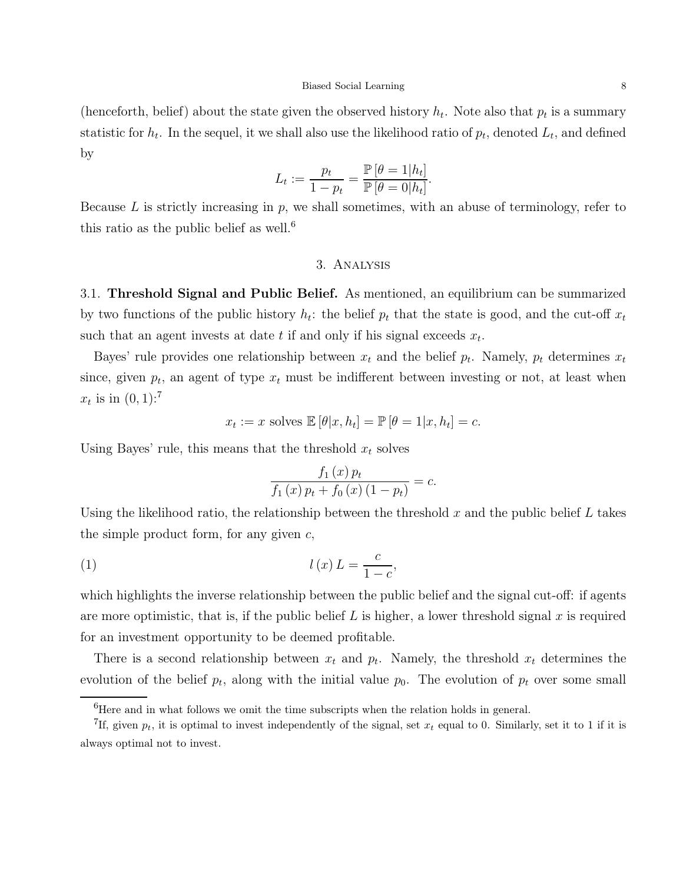(henceforth, belief) about the state given the observed history  $h_t$ . Note also that  $p_t$  is a summary statistic for  $h_t$ . In the sequel, it we shall also use the likelihood ratio of  $p_t$ , denoted  $L_t$ , and defined by

$$
L_t := \frac{p_t}{1 - p_t} = \frac{\mathbb{P}\left[\theta = 1 | h_t\right]}{\mathbb{P}\left[\theta = 0 | h_t\right]}.
$$

Because  $L$  is strictly increasing in  $p$ , we shall sometimes, with an abuse of terminology, refer to this ratio as the public belief as well.<sup>6</sup>

## 3. Analysis

3.1. Threshold Signal and Public Belief. As mentioned, an equilibrium can be summarized by two functions of the public history  $h_t$ : the belief  $p_t$  that the state is good, and the cut-off  $x_t$ such that an agent invests at date  $t$  if and only if his signal exceeds  $x_t$ .

Bayes' rule provides one relationship between  $x_t$  and the belief  $p_t$ . Namely,  $p_t$  determines  $x_t$ since, given  $p_t$ , an agent of type  $x_t$  must be indifferent between investing or not, at least when  $x_t$  is in  $(0, 1)$ :<sup>7</sup>

$$
x_t := x
$$
 solves  $\mathbb{E}[\theta|x, h_t] = \mathbb{P}[\theta = 1|x, h_t] = c$ .

Using Bayes' rule, this means that the threshold  $x_t$  solves

$$
\frac{f_1(x) p_t}{f_1(x) p_t + f_0(x) (1 - p_t)} = c.
$$

Using the likelihood ratio, the relationship between the threshold x and the public belief  $L$  takes the simple product form, for any given  $c$ ,

$$
l(x) = \frac{c}{1-c},
$$

which highlights the inverse relationship between the public belief and the signal cut-off: if agents are more optimistic, that is, if the public belief L is higher, a lower threshold signal x is required for an investment opportunity to be deemed profitable.

There is a second relationship between  $x_t$  and  $p_t$ . Namely, the threshold  $x_t$  determines the evolution of the belief  $p_t$ , along with the initial value  $p_0$ . The evolution of  $p_t$  over some small

<sup>6</sup>Here and in what follows we omit the time subscripts when the relation holds in general.

<sup>&</sup>lt;sup>7</sup>If, given  $p_t$ , it is optimal to invest independently of the signal, set  $x_t$  equal to 0. Similarly, set it to 1 if it is always optimal not to invest.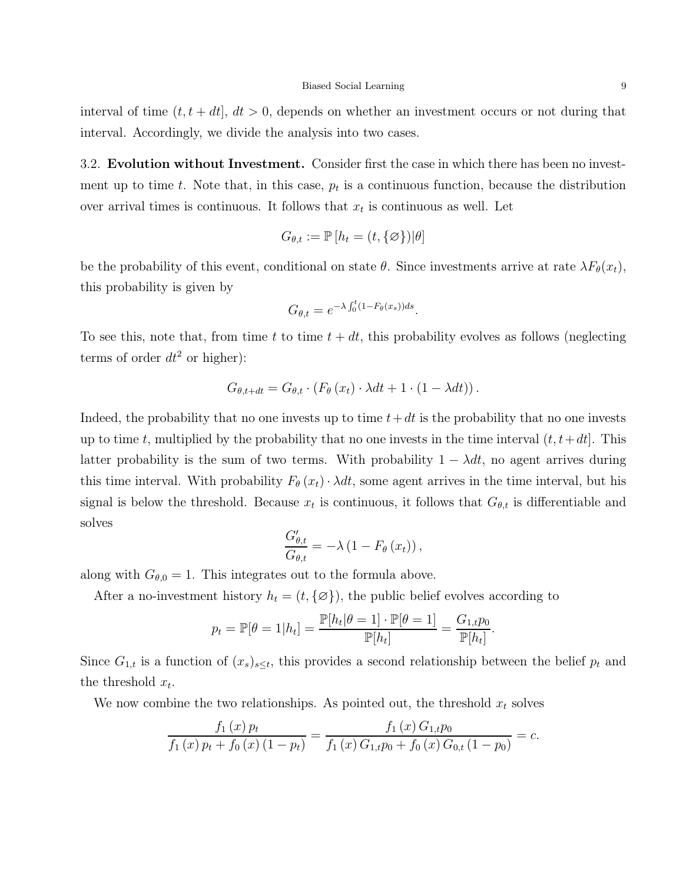interval of time  $(t, t + dt]$ ,  $dt > 0$ , depends on whether an investment occurs or not during that interval. Accordingly, we divide the analysis into two cases.

3.2. Evolution without Investment. Consider first the case in which there has been no investment up to time t. Note that, in this case,  $p_t$  is a continuous function, because the distribution over arrival times is continuous. It follows that  $x_t$  is continuous as well. Let

$$
G_{\theta,t} := \mathbb{P}\left[h_t = (t, \{\varnothing\})|\theta\right]
$$

be the probability of this event, conditional on state  $\theta$ . Since investments arrive at rate  $\lambda F_{\theta}(x_t)$ , this probability is given by

$$
G_{\theta,t} = e^{-\lambda \int_0^t (1 - F_{\theta}(x_s))ds}.
$$

To see this, note that, from time t to time  $t + dt$ , this probability evolves as follows (neglecting terms of order  $dt^2$  or higher):

$$
G_{\theta,t+dt} = G_{\theta,t} \cdot (F_{\theta}(x_t) \cdot \lambda dt + 1 \cdot (1 - \lambda dt)).
$$

Indeed, the probability that no one invests up to time  $t+dt$  is the probability that no one invests up to time t, multiplied by the probability that no one invests in the time interval  $(t, t+dt]$ . This latter probability is the sum of two terms. With probability  $1 - \lambda dt$ , no agent arrives during this time interval. With probability  $F_{\theta}(x_t) \cdot \lambda dt$ , some agent arrives in the time interval, but his signal is below the threshold. Because  $x_t$  is continuous, it follows that  $G_{\theta,t}$  is differentiable and solves

$$
\frac{G_{\theta,t}'}{G_{\theta,t}} = -\lambda \left(1 - F_{\theta}\left(x_{t}\right)\right),\,
$$

along with  $G_{\theta,0} = 1$ . This integrates out to the formula above.

After a no-investment history  $h_t = (t, \{\varnothing\})$ , the public belief evolves according to

$$
p_t = \mathbb{P}[\theta = 1|h_t] = \frac{\mathbb{P}[h_t|\theta = 1] \cdot \mathbb{P}[\theta = 1]}{\mathbb{P}[h_t]} = \frac{G_{1,t}p_0}{\mathbb{P}[h_t]}.
$$

Since  $G_{1,t}$  is a function of  $(x_s)_{s\leq t}$ , this provides a second relationship between the belief  $p_t$  and the threshold  $x_t$ .

We now combine the two relationships. As pointed out, the threshold  $x_t$  solves

$$
\frac{f_1(x) p_t}{f_1(x) p_t + f_0(x) (1 - p_t)} = \frac{f_1(x) G_{1,t} p_0}{f_1(x) G_{1,t} p_0 + f_0(x) G_{0,t} (1 - p_0)} = c.
$$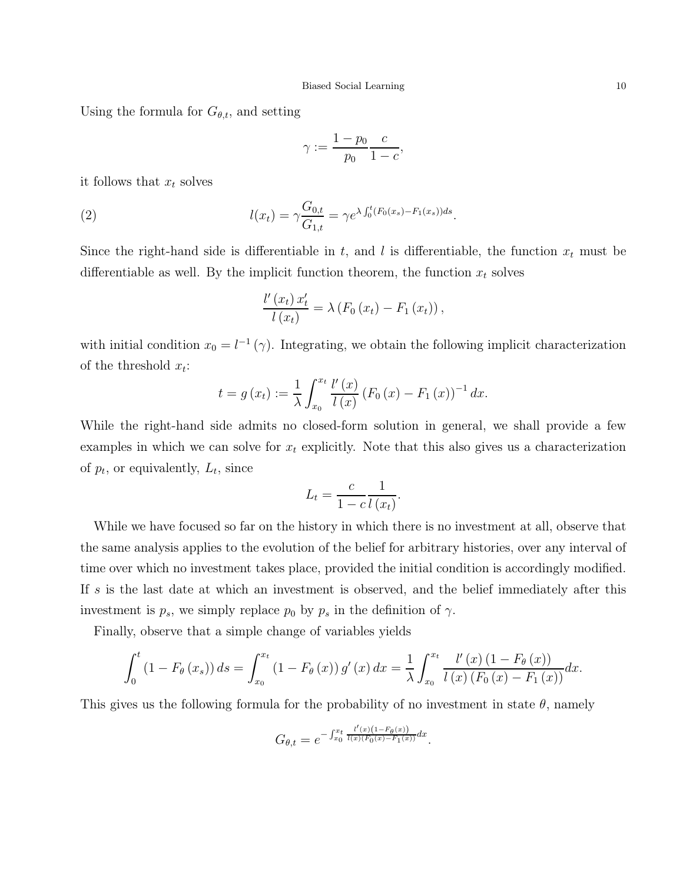Using the formula for  $G_{\theta,t}$ , and setting

$$
\gamma := \frac{1 - p_0}{p_0} \frac{c}{1 - c},
$$

it follows that  $x_t$  solves

(2) 
$$
l(x_t) = \gamma \frac{G_{0,t}}{G_{1,t}} = \gamma e^{\lambda \int_0^t (F_0(x_s) - F_1(x_s))ds}.
$$

Since the right-hand side is differentiable in t, and l is differentiable, the function  $x_t$  must be differentiable as well. By the implicit function theorem, the function  $x_t$  solves

$$
\frac{l'(x_t) x'_t}{l(x_t)} = \lambda (F_0(x_t) - F_1(x_t)),
$$

with initial condition  $x_0 = l^{-1}(\gamma)$ . Integrating, we obtain the following implicit characterization of the threshold  $x_t$ :

$$
t = g(x_t) := \frac{1}{\lambda} \int_{x_0}^{x_t} \frac{l'(x)}{l(x)} (F_0(x) - F_1(x))^{-1} dx.
$$

While the right-hand side admits no closed-form solution in general, we shall provide a few examples in which we can solve for  $x_t$  explicitly. Note that this also gives us a characterization of  $p_t$ , or equivalently,  $L_t$ , since

$$
L_t = \frac{c}{1 - c} \frac{1}{l(x_t)}.
$$

While we have focused so far on the history in which there is no investment at all, observe that the same analysis applies to the evolution of the belief for arbitrary histories, over any interval of time over which no investment takes place, provided the initial condition is accordingly modified. If s is the last date at which an investment is observed, and the belief immediately after this investment is  $p_s$ , we simply replace  $p_0$  by  $p_s$  in the definition of  $\gamma$ .

Finally, observe that a simple change of variables yields

$$
\int_0^t (1 - F_\theta(x_s)) ds = \int_{x_0}^{x_t} (1 - F_\theta(x)) g'(x) dx = \frac{1}{\lambda} \int_{x_0}^{x_t} \frac{l'(x) (1 - F_\theta(x))}{l(x) (F_0(x) - F_1(x))} dx.
$$

This gives us the following formula for the probability of no investment in state  $\theta$ , namely

$$
G_{\theta,t} = e^{-\int_{x_0}^{x_t} \frac{l'(x)(1 - F_{\theta}(x))}{l(x)(F_0(x) - F_1(x))} dx}.
$$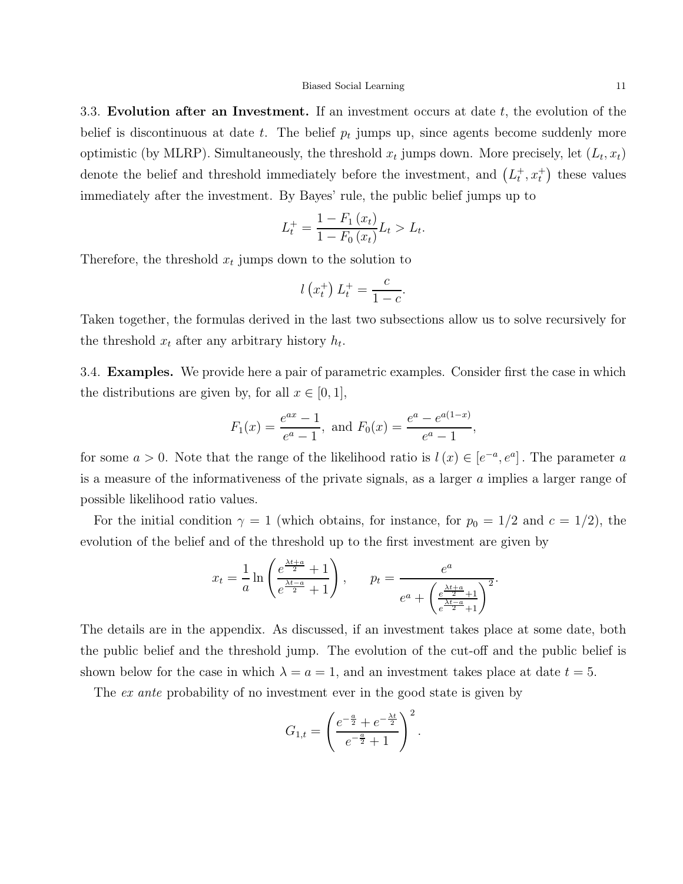3.3. Evolution after an Investment. If an investment occurs at date  $t$ , the evolution of the belief is discontinuous at date  $t$ . The belief  $p_t$  jumps up, since agents become suddenly more optimistic (by MLRP). Simultaneously, the threshold  $x_t$  jumps down. More precisely, let  $(L_t, x_t)$ denote the belief and threshold immediately before the investment, and  $(L_t^+, x_t^+)$  these values immediately after the investment. By Bayes' rule, the public belief jumps up to

$$
L_t^+ = \frac{1 - F_1(x_t)}{1 - F_0(x_t)} L_t > L_t.
$$

Therefore, the threshold  $x_t$  jumps down to the solution to

$$
l\left(x_t^+\right)L_t^+ = \frac{c}{1-c}.
$$

Taken together, the formulas derived in the last two subsections allow us to solve recursively for the threshold  $x_t$  after any arbitrary history  $h_t$ .

3.4. Examples. We provide here a pair of parametric examples. Consider first the case in which the distributions are given by, for all  $x \in [0, 1]$ ,

$$
F_1(x) = \frac{e^{ax} - 1}{e^a - 1}
$$
, and  $F_0(x) = \frac{e^a - e^{a(1-x)}}{e^a - 1}$ ,

for some  $a > 0$ . Note that the range of the likelihood ratio is  $l(x) \in [e^{-a}, e^a]$ . The parameter a is a measure of the informativeness of the private signals, as a larger a implies a larger range of possible likelihood ratio values.

For the initial condition  $\gamma = 1$  (which obtains, for instance, for  $p_0 = 1/2$  and  $c = 1/2$ ), the evolution of the belief and of the threshold up to the first investment are given by

$$
x_{t} = \frac{1}{a} \ln \left( \frac{e^{\frac{\lambda t + a}{2}} + 1}{e^{\frac{\lambda t - a}{2}} + 1} \right), \qquad p_{t} = \frac{e^{a}}{e^{a} + \left( \frac{e^{\frac{\lambda t + a}{2}} + 1}{e^{\frac{\lambda t - a}{2}} + 1} \right)^{2}}.
$$

The details are in the appendix. As discussed, if an investment takes place at some date, both the public belief and the threshold jump. The evolution of the cut-off and the public belief is shown below for the case in which  $\lambda = a = 1$ , and an investment takes place at date  $t = 5$ .

The ex ante probability of no investment ever in the good state is given by

$$
G_{1,t} = \left(\frac{e^{-\frac{a}{2}} + e^{-\frac{\lambda t}{2}}}{e^{-\frac{a}{2}} + 1}\right)^2.
$$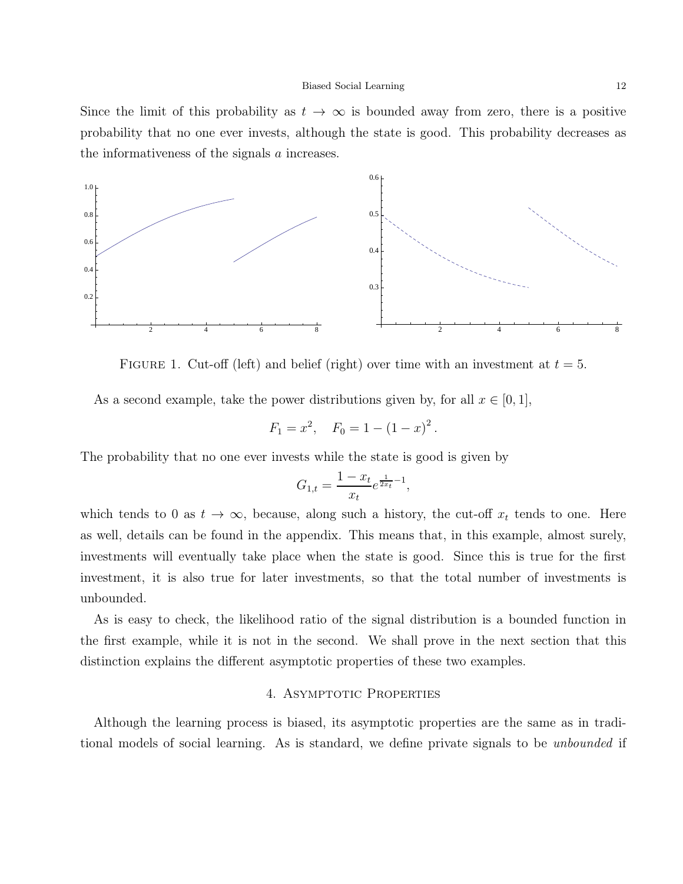Since the limit of this probability as  $t \to \infty$  is bounded away from zero, there is a positive probability that no one ever invests, although the state is good. This probability decreases as the informativeness of the signals a increases.



FIGURE 1. Cut-off (left) and belief (right) over time with an investment at  $t = 5$ .

As a second example, take the power distributions given by, for all  $x \in [0, 1]$ ,

$$
F_1 = x^2, \quad F_0 = 1 - (1 - x)^2.
$$

The probability that no one ever invests while the state is good is given by

$$
G_{1,t} = \frac{1 - x_t}{x_t} e^{\frac{1}{2x_t} - 1},
$$

which tends to 0 as  $t \to \infty$ , because, along such a history, the cut-off  $x_t$  tends to one. Here as well, details can be found in the appendix. This means that, in this example, almost surely, investments will eventually take place when the state is good. Since this is true for the first investment, it is also true for later investments, so that the total number of investments is unbounded.

As is easy to check, the likelihood ratio of the signal distribution is a bounded function in the first example, while it is not in the second. We shall prove in the next section that this distinction explains the different asymptotic properties of these two examples.

## 4. Asymptotic Properties

Although the learning process is biased, its asymptotic properties are the same as in traditional models of social learning. As is standard, we define private signals to be unbounded if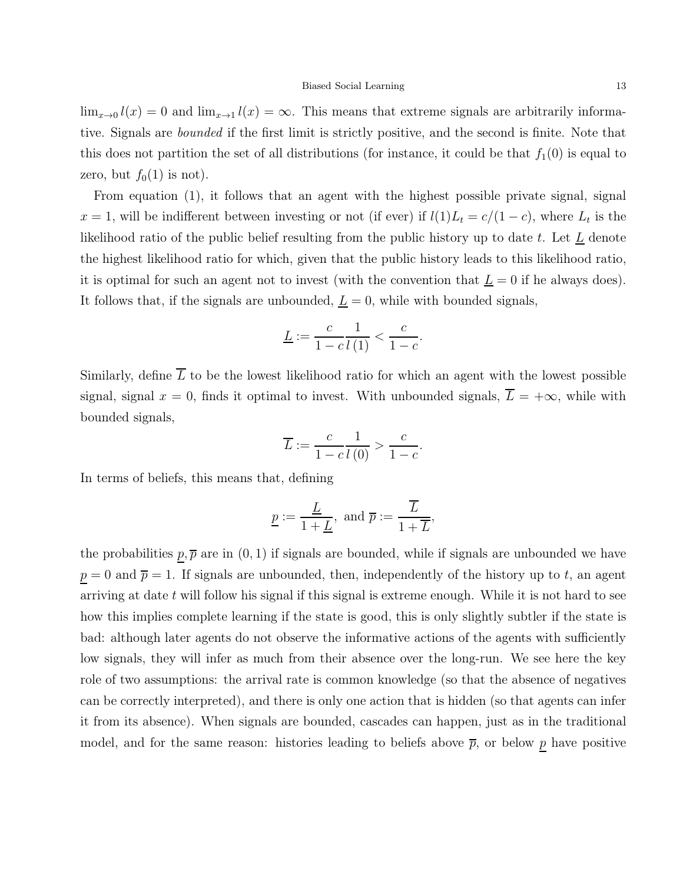$\lim_{x\to 0} l(x) = 0$  and  $\lim_{x\to 1} l(x) = \infty$ . This means that extreme signals are arbitrarily informative. Signals are bounded if the first limit is strictly positive, and the second is finite. Note that this does not partition the set of all distributions (for instance, it could be that  $f_1(0)$  is equal to zero, but  $f_0(1)$  is not).

From equation (1), it follows that an agent with the highest possible private signal, signal  $x = 1$ , will be indifferent between investing or not (if ever) if  $l(1)L_t = c/(1-c)$ , where  $L_t$  is the likelihood ratio of the public belief resulting from the public history up to date t. Let  $\underline{L}$  denote the highest likelihood ratio for which, given that the public history leads to this likelihood ratio, it is optimal for such an agent not to invest (with the convention that  $\underline{L} = 0$  if he always does). It follows that, if the signals are unbounded,  $L = 0$ , while with bounded signals,

$$
\underline{L} := \frac{c}{1 - c} \frac{1}{l(1)} < \frac{c}{1 - c}.
$$

Similarly, define  $\overline{L}$  to be the lowest likelihood ratio for which an agent with the lowest possible signal, signal  $x = 0$ , finds it optimal to invest. With unbounded signals,  $\overline{L} = +\infty$ , while with bounded signals,

$$
\overline{L} := \frac{c}{1 - c} \frac{1}{l\left(0\right)} > \frac{c}{1 - c}.
$$

In terms of beliefs, this means that, defining

$$
\underline{p} := \frac{\underline{L}}{1 + \underline{L}}, \text{ and } \overline{p} := \frac{L}{1 + \overline{L}},
$$

the probabilities  $\underline{p}, \overline{p}$  are in  $(0, 1)$  if signals are bounded, while if signals are unbounded we have  $p = 0$  and  $\bar{p} = 1$ . If signals are unbounded, then, independently of the history up to t, an agent arriving at date  $t$  will follow his signal if this signal is extreme enough. While it is not hard to see how this implies complete learning if the state is good, this is only slightly subtler if the state is bad: although later agents do not observe the informative actions of the agents with sufficiently low signals, they will infer as much from their absence over the long-run. We see here the key role of two assumptions: the arrival rate is common knowledge (so that the absence of negatives can be correctly interpreted), and there is only one action that is hidden (so that agents can infer it from its absence). When signals are bounded, cascades can happen, just as in the traditional model, and for the same reason: histories leading to beliefs above  $\bar{p}$ , or below p have positive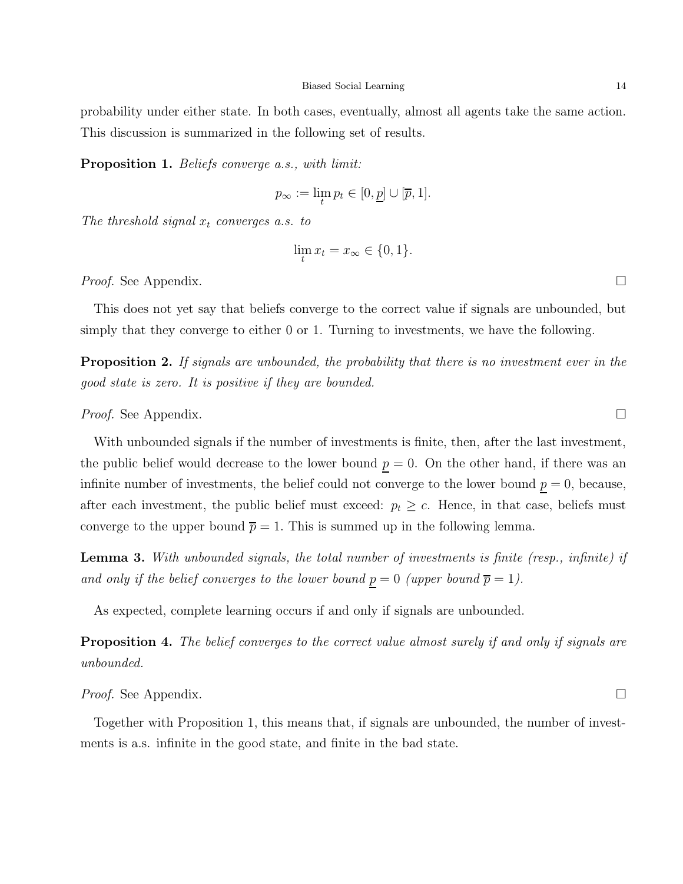probability under either state. In both cases, eventually, almost all agents take the same action. This discussion is summarized in the following set of results.

Proposition 1. Beliefs converge a.s., with limit:

$$
p_{\infty} := \lim_{t} p_t \in [0, \underline{p}] \cup [\overline{p}, 1].
$$

The threshold signal  $x_t$  converges a.s. to

$$
\lim_{t} x_t = x_{\infty} \in \{0, 1\}.
$$

*Proof.* See Appendix.  $\Box$ 

This does not yet say that beliefs converge to the correct value if signals are unbounded, but simply that they converge to either 0 or 1. Turning to investments, we have the following.

**Proposition 2.** If signals are unbounded, the probability that there is no investment ever in the good state is zero. It is positive if they are bounded.

*Proof.* See Appendix.  $\Box$ 

With unbounded signals if the number of investments is finite, then, after the last investment, the public belief would decrease to the lower bound  $p = 0$ . On the other hand, if there was an infinite number of investments, the belief could not converge to the lower bound  $p = 0$ , because, after each investment, the public belief must exceed:  $p_t \geq c$ . Hence, in that case, beliefs must converge to the upper bound  $\bar{p} = 1$ . This is summed up in the following lemma.

Lemma 3. With unbounded signals, the total number of investments is finite (resp., infinite) if and only if the belief converges to the lower bound  $\underline{p} = 0$  (upper bound  $\overline{p} = 1$ ).

As expected, complete learning occurs if and only if signals are unbounded.

**Proposition 4.** The belief converges to the correct value almost surely if and only if signals are unbounded.

*Proof.* See Appendix.  $\Box$ 

Together with Proposition 1, this means that, if signals are unbounded, the number of investments is a.s. infinite in the good state, and finite in the bad state.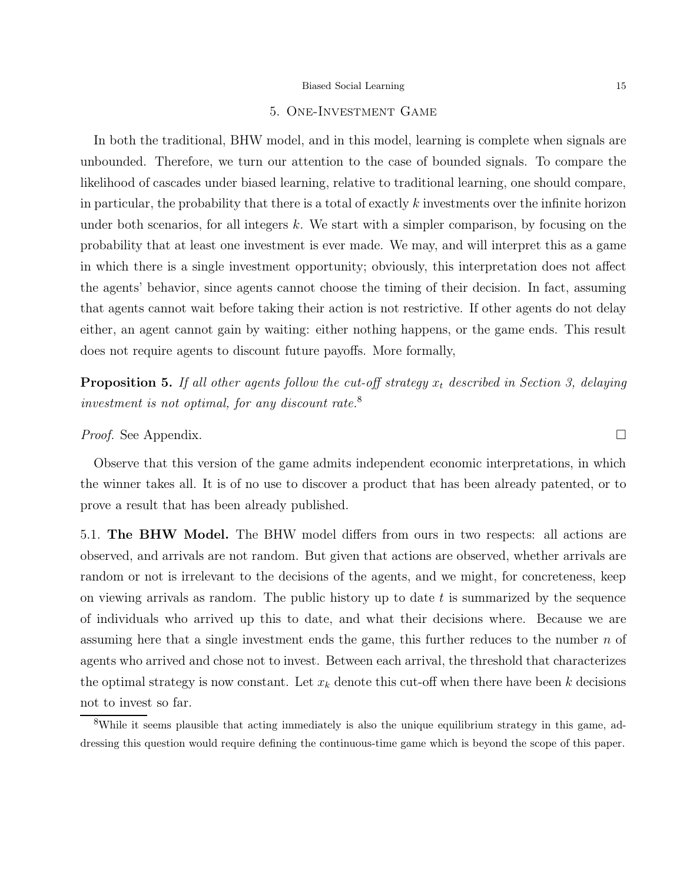### 5. One-Investment Game

In both the traditional, BHW model, and in this model, learning is complete when signals are unbounded. Therefore, we turn our attention to the case of bounded signals. To compare the likelihood of cascades under biased learning, relative to traditional learning, one should compare, in particular, the probability that there is a total of exactly k investments over the infinite horizon under both scenarios, for all integers  $k$ . We start with a simpler comparison, by focusing on the probability that at least one investment is ever made. We may, and will interpret this as a game in which there is a single investment opportunity; obviously, this interpretation does not affect the agents' behavior, since agents cannot choose the timing of their decision. In fact, assuming that agents cannot wait before taking their action is not restrictive. If other agents do not delay either, an agent cannot gain by waiting: either nothing happens, or the game ends. This result does not require agents to discount future payoffs. More formally,

**Proposition 5.** If all other agents follow the cut-off strategy  $x_t$  described in Section 3, delaying investment is not optimal, for any discount rate. $8$ 

## *Proof.* See Appendix.  $\Box$

Observe that this version of the game admits independent economic interpretations, in which the winner takes all. It is of no use to discover a product that has been already patented, or to prove a result that has been already published.

5.1. The BHW Model. The BHW model differs from ours in two respects: all actions are observed, and arrivals are not random. But given that actions are observed, whether arrivals are random or not is irrelevant to the decisions of the agents, and we might, for concreteness, keep on viewing arrivals as random. The public history up to date  $t$  is summarized by the sequence of individuals who arrived up this to date, and what their decisions where. Because we are assuming here that a single investment ends the game, this further reduces to the number  $n$  of agents who arrived and chose not to invest. Between each arrival, the threshold that characterizes the optimal strategy is now constant. Let  $x_k$  denote this cut-off when there have been k decisions not to invest so far.

<sup>&</sup>lt;sup>8</sup>While it seems plausible that acting immediately is also the unique equilibrium strategy in this game, addressing this question would require defining the continuous-time game which is beyond the scope of this paper.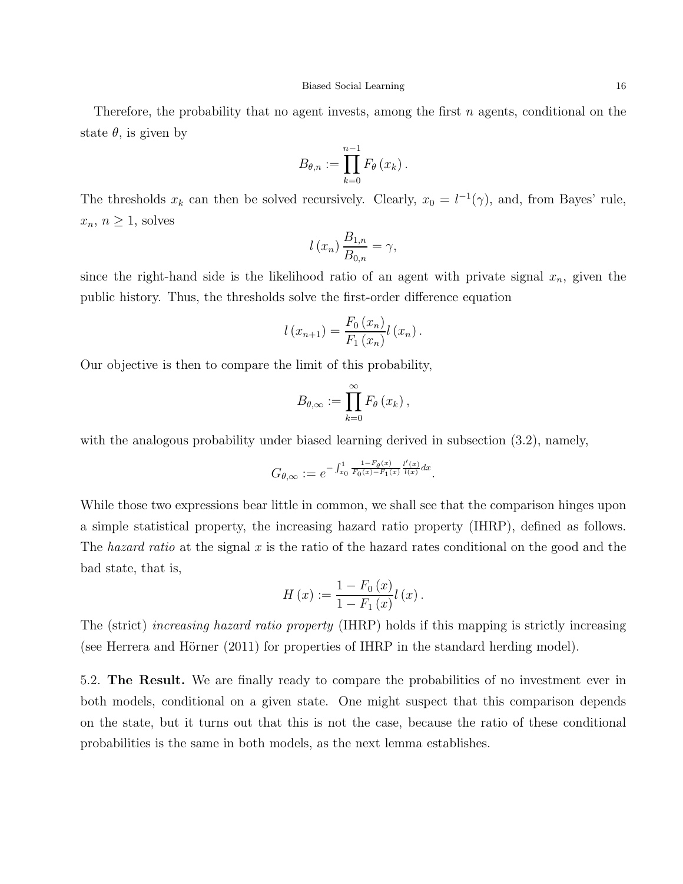Therefore, the probability that no agent invests, among the first  $n$  agents, conditional on the state  $\theta$ , is given by

$$
B_{\theta,n} := \prod_{k=0}^{n-1} F_{\theta}(x_k).
$$

The thresholds  $x_k$  can then be solved recursively. Clearly,  $x_0 = l^{-1}(\gamma)$ , and, from Bayes' rule,  $x_n, n \geq 1$ , solves

$$
l\left(x_n\right)\frac{B_{1,n}}{B_{0,n}} = \gamma,
$$

since the right-hand side is the likelihood ratio of an agent with private signal  $x_n$ , given the public history. Thus, the thresholds solve the first-order difference equation

$$
l(x_{n+1}) = \frac{F_0(x_n)}{F_1(x_n)} l(x_n).
$$

Our objective is then to compare the limit of this probability,

$$
B_{\theta,\infty} := \prod_{k=0}^{\infty} F_{\theta}(x_k),
$$

with the analogous probability under biased learning derived in subsection (3.2), namely,

$$
G_{\theta,\infty} := e^{-\int_{x_0}^1 \frac{1-F_{\theta}(x)}{F_0(x)-F_1(x)} \frac{l'(x)}{l(x)} dx}.
$$

While those two expressions bear little in common, we shall see that the comparison hinges upon a simple statistical property, the increasing hazard ratio property (IHRP), defined as follows. The hazard ratio at the signal x is the ratio of the hazard rates conditional on the good and the bad state, that is,

$$
H(x) := \frac{1 - F_0(x)}{1 - F_1(x)} l(x).
$$

The (strict) increasing hazard ratio property (IHRP) holds if this mapping is strictly increasing (see Herrera and Hörner (2011) for properties of IHRP in the standard herding model).

5.2. The Result. We are finally ready to compare the probabilities of no investment ever in both models, conditional on a given state. One might suspect that this comparison depends on the state, but it turns out that this is not the case, because the ratio of these conditional probabilities is the same in both models, as the next lemma establishes.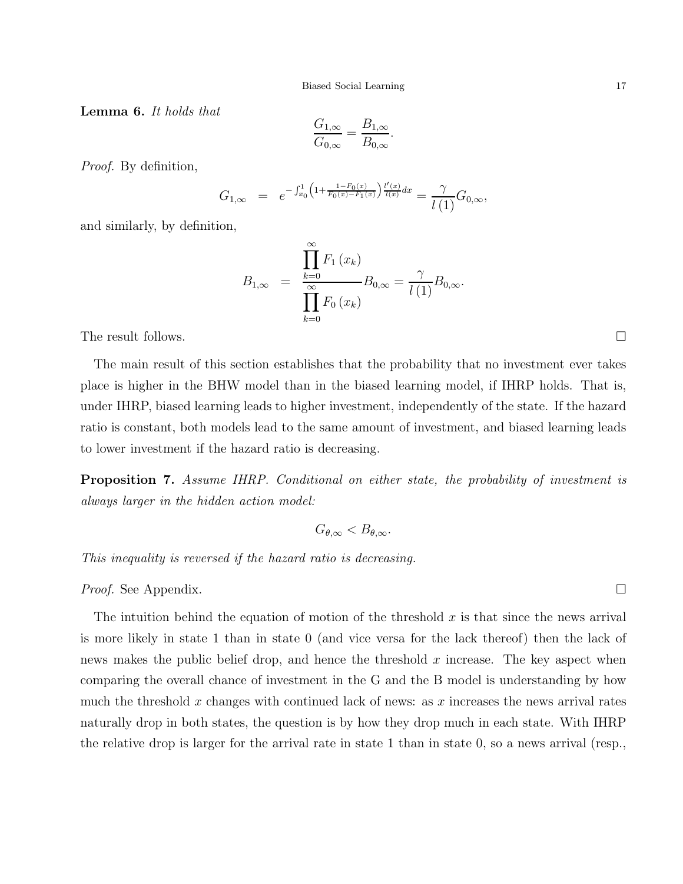Lemma 6. It holds that

$$
\frac{G_{1,\infty}}{G_{0,\infty}} = \frac{B_{1,\infty}}{B_{0,\infty}}.
$$

Proof. By definition,

$$
G_{1,\infty} \;\; = \;\; e^{-\int_{x_0}^1 \left(1+\frac{1-F_0(x)}{F_0(x)-F_1(x)}\right) \frac{l'(x)}{l(x)} dx} = \frac{\gamma}{l\left(1\right)} G_{0,\infty},
$$

and similarly, by definition,

$$
B_{1,\infty} = \frac{\prod_{k=0}^{\infty} F_1(x_k)}{\prod_{k=0}^{\infty} F_0(x_k)} B_{0,\infty} = \frac{\gamma}{l(1)} B_{0,\infty}.
$$

The result follows.  $\Box$ 

The main result of this section establishes that the probability that no investment ever takes place is higher in the BHW model than in the biased learning model, if IHRP holds. That is, under IHRP, biased learning leads to higher investment, independently of the state. If the hazard ratio is constant, both models lead to the same amount of investment, and biased learning leads to lower investment if the hazard ratio is decreasing.

Proposition 7. Assume IHRP. Conditional on either state, the probability of investment is always larger in the hidden action model:

$$
G_{\theta,\infty} < B_{\theta,\infty}.
$$

This inequality is reversed if the hazard ratio is decreasing.

*Proof.* See Appendix.  $\Box$ 

The intuition behind the equation of motion of the threshold  $x$  is that since the news arrival is more likely in state 1 than in state 0 (and vice versa for the lack thereof) then the lack of news makes the public belief drop, and hence the threshold  $x$  increase. The key aspect when comparing the overall chance of investment in the G and the B model is understanding by how much the threshold x changes with continued lack of news: as x increases the news arrival rates naturally drop in both states, the question is by how they drop much in each state. With IHRP the relative drop is larger for the arrival rate in state 1 than in state 0, so a news arrival (resp.,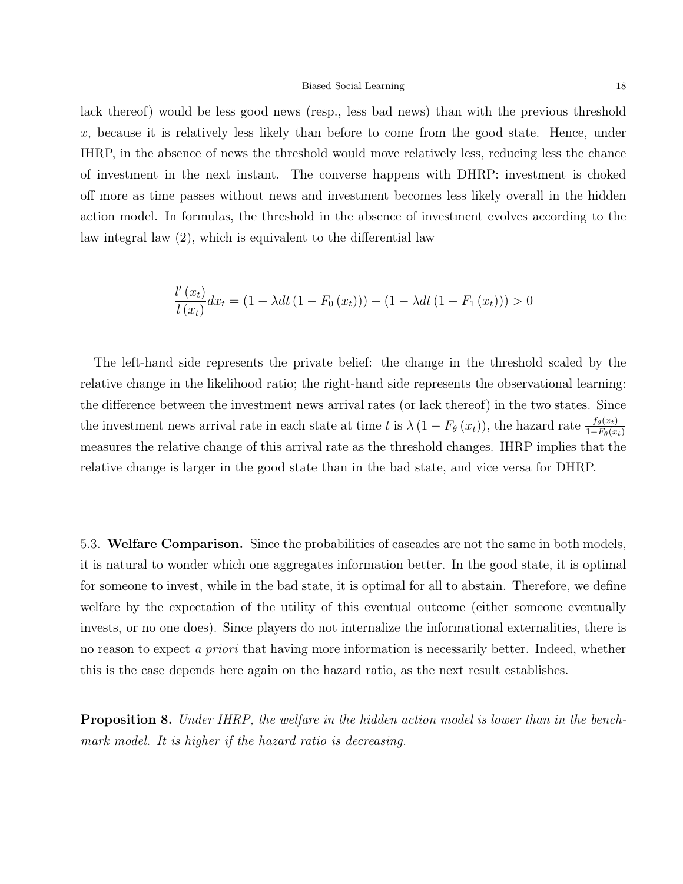lack thereof) would be less good news (resp., less bad news) than with the previous threshold x, because it is relatively less likely than before to come from the good state. Hence, under IHRP, in the absence of news the threshold would move relatively less, reducing less the chance of investment in the next instant. The converse happens with DHRP: investment is choked off more as time passes without news and investment becomes less likely overall in the hidden action model. In formulas, the threshold in the absence of investment evolves according to the law integral law (2), which is equivalent to the differential law

$$
\frac{l'(x_t)}{l(x_t)}dx_t = (1 - \lambda dt (1 - F_0(x_t))) - (1 - \lambda dt (1 - F_1(x_t))) > 0
$$

The left-hand side represents the private belief: the change in the threshold scaled by the relative change in the likelihood ratio; the right-hand side represents the observational learning: the difference between the investment news arrival rates (or lack thereof) in the two states. Since the investment news arrival rate in each state at time t is  $\lambda(1-F_{\theta}(x_t))$ , the hazard rate  $\frac{f_{\theta}(x_t)}{1-F_{\theta}(x_t)}$ measures the relative change of this arrival rate as the threshold changes. IHRP implies that the relative change is larger in the good state than in the bad state, and vice versa for DHRP.

5.3. Welfare Comparison. Since the probabilities of cascades are not the same in both models, it is natural to wonder which one aggregates information better. In the good state, it is optimal for someone to invest, while in the bad state, it is optimal for all to abstain. Therefore, we define welfare by the expectation of the utility of this eventual outcome (either someone eventually invests, or no one does). Since players do not internalize the informational externalities, there is no reason to expect a priori that having more information is necessarily better. Indeed, whether this is the case depends here again on the hazard ratio, as the next result establishes.

**Proposition 8.** Under IHRP, the welfare in the hidden action model is lower than in the benchmark model. It is higher if the hazard ratio is decreasing.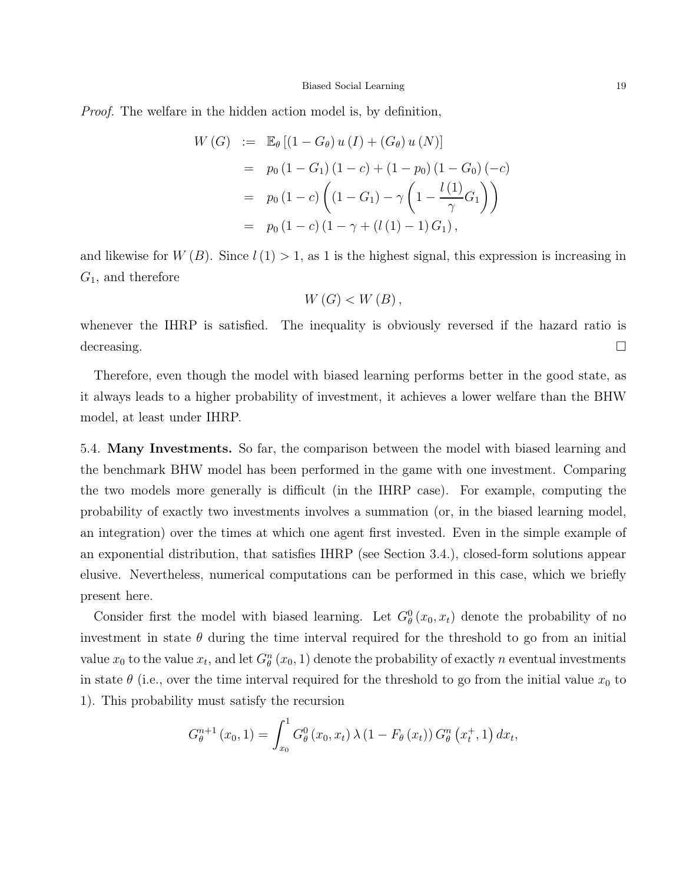Proof. The welfare in the hidden action model is, by definition,

$$
W(G) := \mathbb{E}_{\theta} [(1 - G_{\theta}) u (I) + (G_{\theta}) u (N)]
$$
  
=  $p_0 (1 - G_1) (1 - c) + (1 - p_0) (1 - G_0) (-c)$   
=  $p_0 (1 - c) \left( (1 - G_1) - \gamma \left( 1 - \frac{l(1)}{\gamma} G_1 \right) \right)$   
=  $p_0 (1 - c) (1 - \gamma + (l(1) - 1) G_1),$ 

and likewise for  $W(B)$ . Since  $l(1) > 1$ , as 1 is the highest signal, this expression is increasing in  $G_1$ , and therefore

$$
W(G) < W(B),
$$

whenever the IHRP is satisfied. The inequality is obviously reversed if the hazard ratio is decreasing.  $\Box$ 

Therefore, even though the model with biased learning performs better in the good state, as it always leads to a higher probability of investment, it achieves a lower welfare than the BHW model, at least under IHRP.

5.4. Many Investments. So far, the comparison between the model with biased learning and the benchmark BHW model has been performed in the game with one investment. Comparing the two models more generally is difficult (in the IHRP case). For example, computing the probability of exactly two investments involves a summation (or, in the biased learning model, an integration) over the times at which one agent first invested. Even in the simple example of an exponential distribution, that satisfies IHRP (see Section 3.4.), closed-form solutions appear elusive. Nevertheless, numerical computations can be performed in this case, which we briefly present here.

Consider first the model with biased learning. Let  $G_{\theta}^{0}(x_0, x_t)$  denote the probability of no investment in state  $\theta$  during the time interval required for the threshold to go from an initial value  $x_0$  to the value  $x_t$ , and let  $G^n_\theta(x_0, 1)$  denote the probability of exactly n eventual investments in state  $\theta$  (i.e., over the time interval required for the threshold to go from the initial value  $x_0$  to 1). This probability must satisfy the recursion

$$
G_{\theta}^{n+1}(x_0, 1) = \int_{x_0}^1 G_{\theta}^0(x_0, x_t) \,\lambda (1 - F_{\theta}(x_t)) \, G_{\theta}^n(x_t^+, 1) \, dx_t,
$$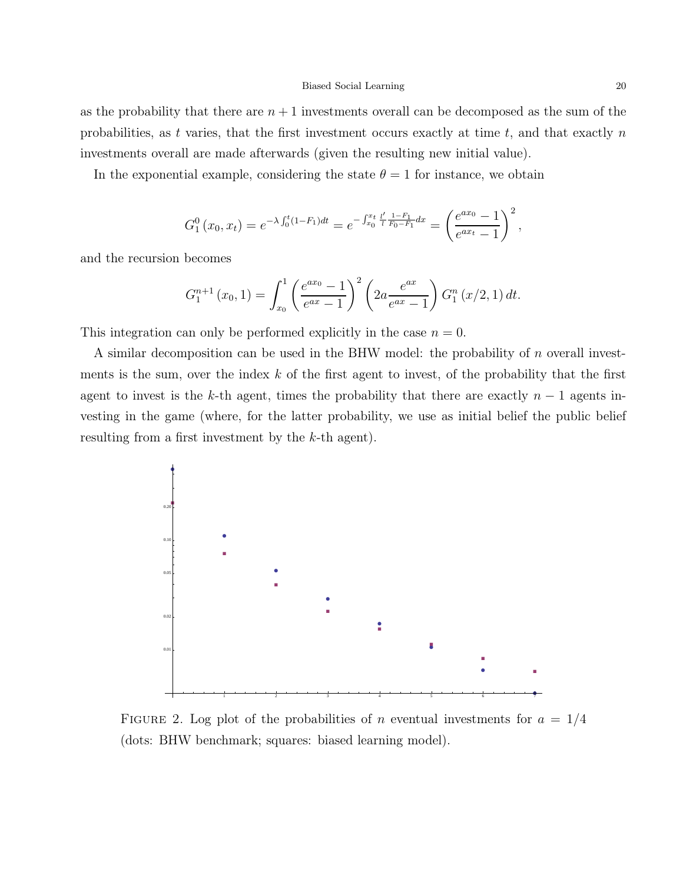as the probability that there are  $n+1$  investments overall can be decomposed as the sum of the probabilities, as t varies, that the first investment occurs exactly at time  $t$ , and that exactly  $n$ investments overall are made afterwards (given the resulting new initial value).

In the exponential example, considering the state  $\theta = 1$  for instance, we obtain

$$
G_1^0(x_0, x_t) = e^{-\lambda \int_0^t (1 - F_1) dt} = e^{-\int_{x_0}^{x_t} \frac{l'}{l} \frac{1 - F_1}{F_0 - F_1} dx} = \left(\frac{e^{ax_0} - 1}{e^{ax_t} - 1}\right)^2,
$$

and the recursion becomes

$$
G_1^{n+1}(x_0, 1) = \int_{x_0}^1 \left(\frac{e^{ax_0} - 1}{e^{ax} - 1}\right)^2 \left(2a \frac{e^{ax}}{e^{ax} - 1}\right) G_1^n(x/2, 1) dt.
$$

This integration can only be performed explicitly in the case  $n = 0$ .

A similar decomposition can be used in the BHW model: the probability of  $n$  overall investments is the sum, over the index  $k$  of the first agent to invest, of the probability that the first agent to invest is the k-th agent, times the probability that there are exactly  $n-1$  agents investing in the game (where, for the latter probability, we use as initial belief the public belief resulting from a first investment by the k-th agent).



FIGURE 2. Log plot of the probabilities of n eventual investments for  $a = 1/4$ (dots: BHW benchmark; squares: biased learning model).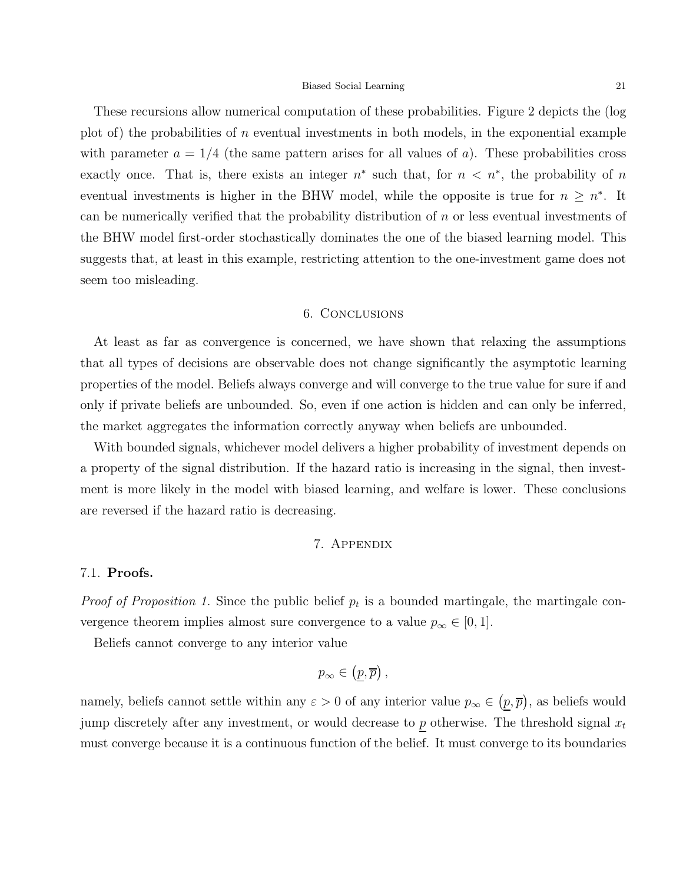These recursions allow numerical computation of these probabilities. Figure 2 depicts the (log plot of) the probabilities of n eventual investments in both models, in the exponential example with parameter  $a = 1/4$  (the same pattern arises for all values of a). These probabilities cross exactly once. That is, there exists an integer  $n^*$  such that, for  $n \leq n^*$ , the probability of n eventual investments is higher in the BHW model, while the opposite is true for  $n \geq n^*$ . It can be numerically verified that the probability distribution of  $n$  or less eventual investments of the BHW model first-order stochastically dominates the one of the biased learning model. This suggests that, at least in this example, restricting attention to the one-investment game does not seem too misleading.

#### 6. Conclusions

At least as far as convergence is concerned, we have shown that relaxing the assumptions that all types of decisions are observable does not change significantly the asymptotic learning properties of the model. Beliefs always converge and will converge to the true value for sure if and only if private beliefs are unbounded. So, even if one action is hidden and can only be inferred, the market aggregates the information correctly anyway when beliefs are unbounded.

With bounded signals, whichever model delivers a higher probability of investment depends on a property of the signal distribution. If the hazard ratio is increasing in the signal, then investment is more likely in the model with biased learning, and welfare is lower. These conclusions are reversed if the hazard ratio is decreasing.

## 7. Appendix

## 7.1. Proofs.

*Proof of Proposition 1.* Since the public belief  $p_t$  is a bounded martingale, the martingale convergence theorem implies almost sure convergence to a value  $p_{\infty} \in [0,1].$ 

Beliefs cannot converge to any interior value

$$
p_{\infty} \in \left(\underline{p}, \overline{p}\right),
$$

namely, beliefs cannot settle within any  $\varepsilon > 0$  of any interior value  $p_{\infty} \in (p, \overline{p})$ , as beliefs would jump discretely after any investment, or would decrease to  $p$  otherwise. The threshold signal  $x_t$ must converge because it is a continuous function of the belief. It must converge to its boundaries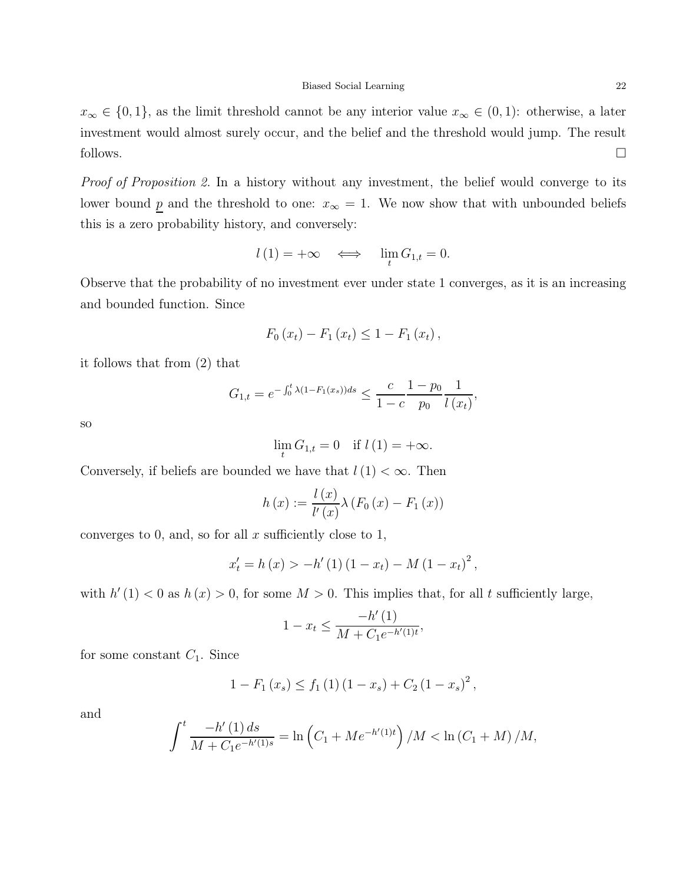$x_{\infty} \in \{0, 1\}$ , as the limit threshold cannot be any interior value  $x_{\infty} \in (0, 1)$ : otherwise, a later investment would almost surely occur, and the belief and the threshold would jump. The result follows.  $\Box$ 

Proof of Proposition 2. In a history without any investment, the belief would converge to its lower bound p and the threshold to one:  $x_{\infty} = 1$ . We now show that with unbounded beliefs this is a zero probability history, and conversely:

$$
l(1) = +\infty \quad \Longleftrightarrow \quad \lim_{t} G_{1,t} = 0.
$$

Observe that the probability of no investment ever under state 1 converges, as it is an increasing and bounded function. Since

$$
F_0(x_t) - F_1(x_t) \leq 1 - F_1(x_t),
$$

it follows that from (2) that

$$
G_{1,t} = e^{-\int_0^t \lambda (1 - F_1(x_s))ds} \le \frac{c}{1 - c} \frac{1 - p_0}{p_0} \frac{1}{l(x_t)},
$$

so

$$
\lim_{t} G_{1,t} = 0 \quad \text{if } l(1) = +\infty.
$$

Conversely, if beliefs are bounded we have that  $l(1) < \infty$ . Then

$$
h(x) := \frac{l(x)}{l'(x)} \lambda (F_0(x) - F_1(x))
$$

converges to 0, and, so for all  $x$  sufficiently close to 1,

$$
x'_{t} = h(x) > -h'(1) (1 - x_{t}) - M (1 - x_{t})^{2},
$$

with  $h'(1) < 0$  as  $h(x) > 0$ , for some  $M > 0$ . This implies that, for all t sufficiently large,

$$
1 - x_t \le \frac{-h'(1)}{M + C_1 e^{-h'(1)t}},
$$

for some constant  $C_1$ . Since

$$
1 - F_1(x_s) \le f_1(1) (1 - x_s) + C_2 (1 - x_s)^2,
$$

and

$$
\int^t \frac{-h'(1) ds}{M + C_1 e^{-h'(1)s}} = \ln\left(C_1 + Me^{-h'(1)t}\right) / M < \ln\left(C_1 + M\right) / M,
$$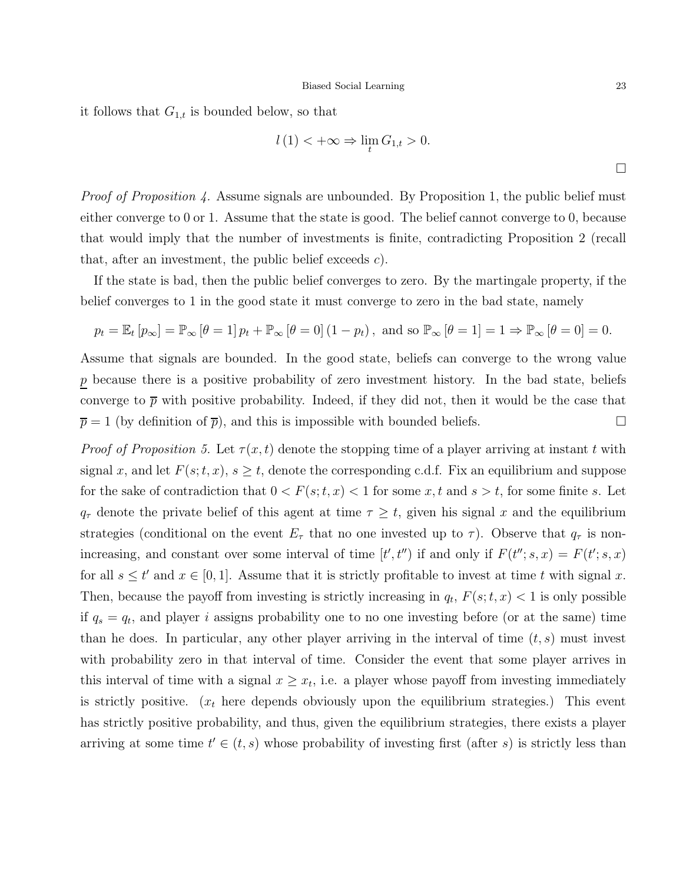it follows that  $G_{1,t}$  is bounded below, so that

$$
l(1) < +\infty \Rightarrow \lim_{t} G_{1,t} > 0.
$$

Proof of Proposition 4. Assume signals are unbounded. By Proposition 1, the public belief must either converge to 0 or 1. Assume that the state is good. The belief cannot converge to 0, because that would imply that the number of investments is finite, contradicting Proposition 2 (recall that, after an investment, the public belief exceeds  $c$ ).

If the state is bad, then the public belief converges to zero. By the martingale property, if the belief converges to 1 in the good state it must converge to zero in the bad state, namely

$$
p_t = \mathbb{E}_t [p_\infty] = \mathbb{P}_\infty [\theta = 1] p_t + \mathbb{P}_\infty [\theta = 0] (1 - p_t)
$$
, and so  $\mathbb{P}_\infty [\theta = 1] = 1 \Rightarrow \mathbb{P}_\infty [\theta = 0] = 0$ .

Assume that signals are bounded. In the good state, beliefs can converge to the wrong value  $\underline{p}$  because there is a positive probability of zero investment history. In the bad state, beliefs converge to  $\bar{p}$  with positive probability. Indeed, if they did not, then it would be the case that  $\overline{p} = 1$  (by definition of  $\overline{p}$ ), and this is impossible with bounded beliefs.

*Proof of Proposition 5.* Let  $\tau(x, t)$  denote the stopping time of a player arriving at instant t with signal x, and let  $F(s; t, x)$ ,  $s \geq t$ , denote the corresponding c.d.f. Fix an equilibrium and suppose for the sake of contradiction that  $0 < F(s; t, x) < 1$  for some x, t and  $s > t$ , for some finite s. Let  $q_{\tau}$  denote the private belief of this agent at time  $\tau \geq t$ , given his signal x and the equilibrium strategies (conditional on the event  $E_{\tau}$  that no one invested up to  $\tau$ ). Observe that  $q_{\tau}$  is nonincreasing, and constant over some interval of time  $[t', t'')$  if and only if  $F(t''; s, x) = F(t'; s, x)$ for all  $s \leq t'$  and  $x \in [0,1]$ . Assume that it is strictly profitable to invest at time t with signal x. Then, because the payoff from investing is strictly increasing in  $q_t$ ,  $F(s; t, x) < 1$  is only possible if  $q_s = q_t$ , and player i assigns probability one to no one investing before (or at the same) time than he does. In particular, any other player arriving in the interval of time  $(t, s)$  must invest with probability zero in that interval of time. Consider the event that some player arrives in this interval of time with a signal  $x \geq x_t$ , i.e. a player whose payoff from investing immediately is strictly positive.  $(x_t)$  here depends obviously upon the equilibrium strategies.) This event has strictly positive probability, and thus, given the equilibrium strategies, there exists a player arriving at some time  $t' \in (t, s)$  whose probability of investing first (after s) is strictly less than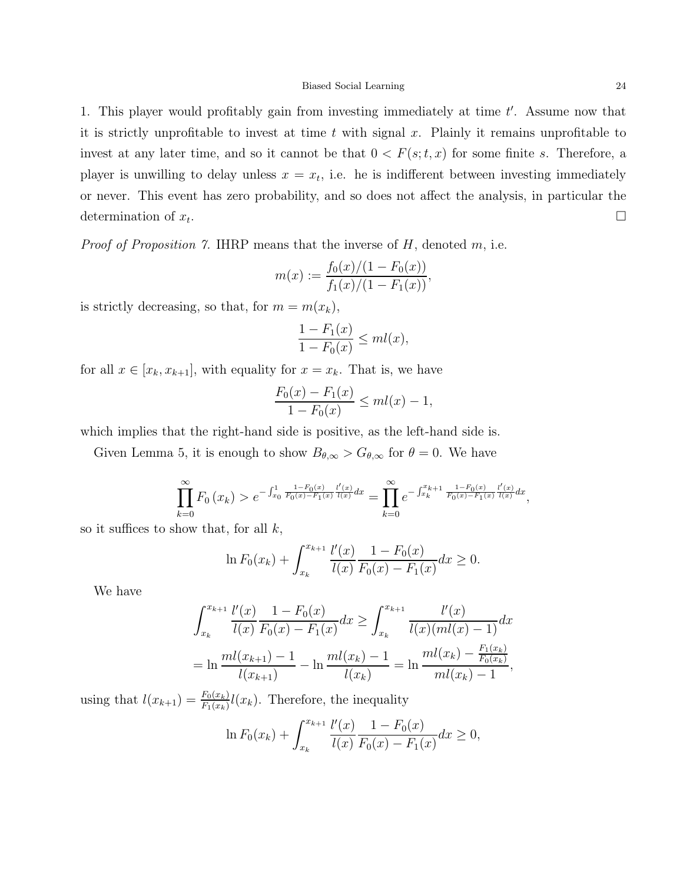1. This player would profitably gain from investing immediately at time  $t'$ . Assume now that it is strictly unprofitable to invest at time  $t$  with signal  $x$ . Plainly it remains unprofitable to invest at any later time, and so it cannot be that  $0 < F(s; t, x)$  for some finite s. Therefore, a player is unwilling to delay unless  $x = x_t$ , i.e. he is indifferent between investing immediately or never. This event has zero probability, and so does not affect the analysis, in particular the determination of  $x_t$ . .

*Proof of Proposition 7.* IHRP means that the inverse of  $H$ , denoted  $m$ , i.e.

$$
m(x) := \frac{f_0(x)/(1 - F_0(x))}{f_1(x)/(1 - F_1(x))},
$$

is strictly decreasing, so that, for  $m = m(x_k)$ ,

$$
\frac{1 - F_1(x)}{1 - F_0(x)} \le ml(x),
$$

for all  $x \in [x_k, x_{k+1}]$ , with equality for  $x = x_k$ . That is, we have

$$
\frac{F_0(x) - F_1(x)}{1 - F_0(x)} \le ml(x) - 1,
$$

which implies that the right-hand side is positive, as the left-hand side is.

Given Lemma 5, it is enough to show  $B_{\theta,\infty} > G_{\theta,\infty}$  for  $\theta = 0$ . We have

$$
\prod_{k=0}^{\infty} F_0(x_k) > e^{-\int_{x_0}^1 \frac{1-F_0(x)}{F_0(x)-F_1(x)}\frac{l'(x)}{l(x)}dx} = \prod_{k=0}^{\infty} e^{-\int_{x_k}^{x_{k+1}} \frac{1-F_0(x)}{F_0(x)-F_1(x)}\frac{l'(x)}{l(x)}dx},
$$

so it suffices to show that, for all  $k$ ,

$$
\ln F_0(x_k) + \int_{x_k}^{x_{k+1}} \frac{l'(x)}{l(x)} \frac{1 - F_0(x)}{F_0(x) - F_1(x)} dx \ge 0.
$$

We have

$$
\int_{x_k}^{x_{k+1}} \frac{l'(x)}{l(x)} \frac{1 - F_0(x)}{F_0(x) - F_1(x)} dx \ge \int_{x_k}^{x_{k+1}} \frac{l'(x)}{l(x)(ml(x) - 1)} dx
$$

$$
= \ln \frac{ml(x_{k+1}) - 1}{l(x_{k+1})} - \ln \frac{ml(x_k) - 1}{l(x_k)} = \ln \frac{ml(x_k) - \frac{F_1(x_k)}{F_0(x_k)}}{ml(x_k) - 1},
$$

using that  $l(x_{k+1}) = \frac{F_0(x_k)}{F_1(x_k)} l(x_k)$ . Therefore, the inequality

$$
\ln F_0(x_k) + \int_{x_k}^{x_{k+1}} \frac{l'(x)}{l(x)} \frac{1 - F_0(x)}{F_0(x) - F_1(x)} dx \ge 0,
$$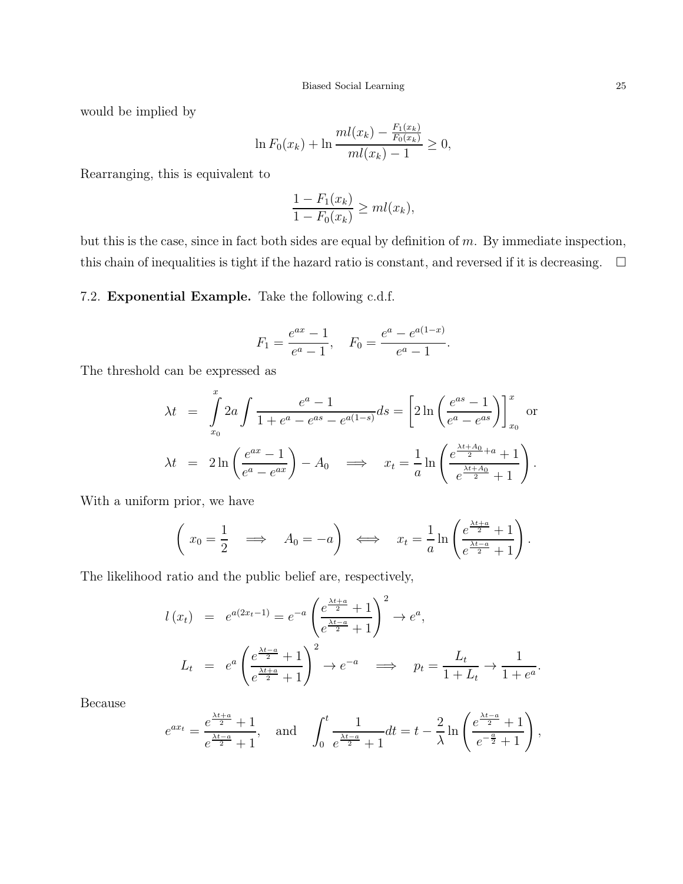would be implied by

$$
\ln F_0(x_k) + \ln \frac{ml(x_k) - \frac{F_1(x_k)}{F_0(x_k)}}{ml(x_k) - 1} \ge 0,
$$

Rearranging, this is equivalent to

$$
\frac{1 - F_1(x_k)}{1 - F_0(x_k)} \ge ml(x_k),
$$

but this is the case, since in fact both sides are equal by definition of  $m$ . By immediate inspection, this chain of inequalities is tight if the hazard ratio is constant, and reversed if it is decreasing.  $\Box$ 

## 7.2. Exponential Example. Take the following c.d.f.

$$
F_1 = \frac{e^{ax} - 1}{e^a - 1}, \quad F_0 = \frac{e^a - e^{a(1-x)}}{e^a - 1}.
$$

The threshold can be expressed as

$$
\lambda t = \int_{x_0}^{x} 2a \int \frac{e^a - 1}{1 + e^a - e^{as} - e^{a(1-s)}} ds = \left[ 2 \ln \left( \frac{e^{as} - 1}{e^a - e^{as}} \right) \right]_{x_0}^{x} \text{ or}
$$

$$
\lambda t = 2 \ln \left( \frac{e^{ax} - 1}{e^a - e^{ax}} \right) - A_0 \implies x_t = \frac{1}{a} \ln \left( \frac{e^{\frac{\lambda t + A_0}{2} + a} + 1}{e^{\frac{\lambda t + A_0}{2} + 1}} \right).
$$

With a uniform prior, we have

$$
\left(x_0 = \frac{1}{2} \quad \Longrightarrow \quad A_0 = -a\right) \quad \Longleftrightarrow \quad x_t = \frac{1}{a} \ln \left(\frac{e^{\frac{\lambda t + a}{2}} + 1}{e^{\frac{\lambda t - a}{2}} + 1}\right).
$$

The likelihood ratio and the public belief are, respectively,

$$
l(x_t) = e^{a(2x_t-1)} = e^{-a} \left( \frac{e^{\frac{\lambda t + a}{2}} + 1}{e^{\frac{\lambda t - a}{2}} + 1} \right)^2 \to e^a,
$$
  

$$
L_t = e^a \left( \frac{e^{\frac{\lambda t - a}{2}} + 1}{e^{\frac{\lambda t + a}{2}} + 1} \right)^2 \to e^{-a} \implies p_t = \frac{L_t}{1 + L_t} \to \frac{1}{1 + e^a}.
$$

Because

$$
e^{ax_t} = \frac{e^{\frac{\lambda t + a}{2}} + 1}{e^{\frac{\lambda t - a}{2}} + 1}
$$
, and  $\int_0^t \frac{1}{e^{\frac{\lambda t - a}{2}} + 1} dt = t - \frac{2}{\lambda} \ln \left( \frac{e^{\frac{\lambda t - a}{2}} + 1}{e^{-\frac{a}{2}} + 1} \right)$ ,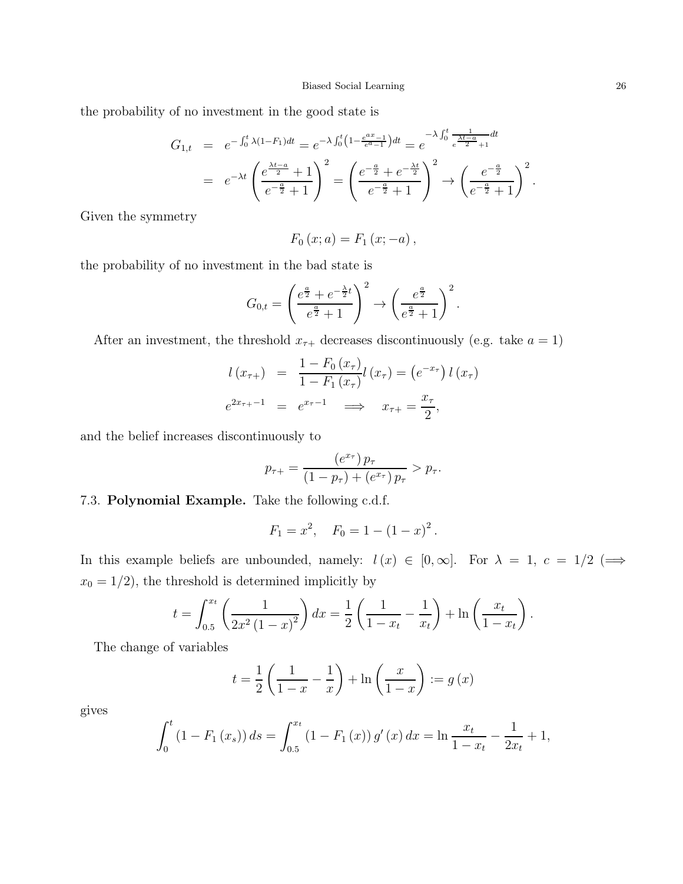the probability of no investment in the good state is

$$
G_{1,t} = e^{-\int_0^t \lambda (1-F_1)dt} = e^{-\lambda \int_0^t \left(1 - \frac{e^{ax}-1}{e^{a}-1}\right)dt} = e^{-\lambda \int_0^t \frac{1}{e^{\lambda t}-a} dt}
$$
  
=  $e^{-\lambda t} \left(\frac{e^{\lambda t}-a}{e^{-\frac{a}{2}}+1}\right)^2 = \left(\frac{e^{-\frac{a}{2}}+e^{-\frac{\lambda t}{2}}}{e^{-\frac{a}{2}}+1}\right)^2 \to \left(\frac{e^{-\frac{a}{2}}}{e^{-\frac{a}{2}}+1}\right)^2.$ 

Given the symmetry

$$
F_0(x;a) = F_1(x;-a),
$$

the probability of no investment in the bad state is

$$
G_{0,t} = \left(\frac{e^{\frac{a}{2}} + e^{-\frac{\lambda}{2}t}}{e^{\frac{a}{2}} + 1}\right)^2 \to \left(\frac{e^{\frac{a}{2}}}{e^{\frac{a}{2}} + 1}\right)^2.
$$

After an investment, the threshold  $x_{\tau+}$  decreases discontinuously (e.g. take  $a = 1$ )

$$
l(x_{\tau+}) = \frac{1 - F_0(x_{\tau})}{1 - F_1(x_{\tau})} l(x_{\tau}) = (e^{-x_{\tau}}) l(x_{\tau})
$$
  

$$
e^{2x_{\tau+}-1} = e^{x_{\tau}-1} \implies x_{\tau+} = \frac{x_{\tau}}{2},
$$

and the belief increases discontinuously to

$$
p_{\tau+} = \frac{(e^{x_{\tau}}) p_{\tau}}{(1 - p_{\tau}) + (e^{x_{\tau}}) p_{\tau}} > p_{\tau}.
$$

### 7.3. Polynomial Example. Take the following c.d.f.

$$
F_1 = x^2, \quad F_0 = 1 - (1 - x)^2.
$$

In this example beliefs are unbounded, namely:  $l(x) \in [0, \infty]$ . For  $\lambda = 1$ ,  $c = 1/2$  ( $\implies$  $x_0 = 1/2$ , the threshold is determined implicitly by

$$
t = \int_{0.5}^{x_t} \left( \frac{1}{2x^2 (1 - x)^2} \right) dx = \frac{1}{2} \left( \frac{1}{1 - x_t} - \frac{1}{x_t} \right) + \ln \left( \frac{x_t}{1 - x_t} \right).
$$

The change of variables

$$
t = \frac{1}{2} \left( \frac{1}{1-x} - \frac{1}{x} \right) + \ln \left( \frac{x}{1-x} \right) := g(x)
$$

gives

$$
\int_0^t \left(1 - F_1(x_s)\right) ds = \int_{0.5}^{x_t} \left(1 - F_1(x)\right) g'(x) dx = \ln \frac{x_t}{1 - x_t} - \frac{1}{2x_t} + 1,
$$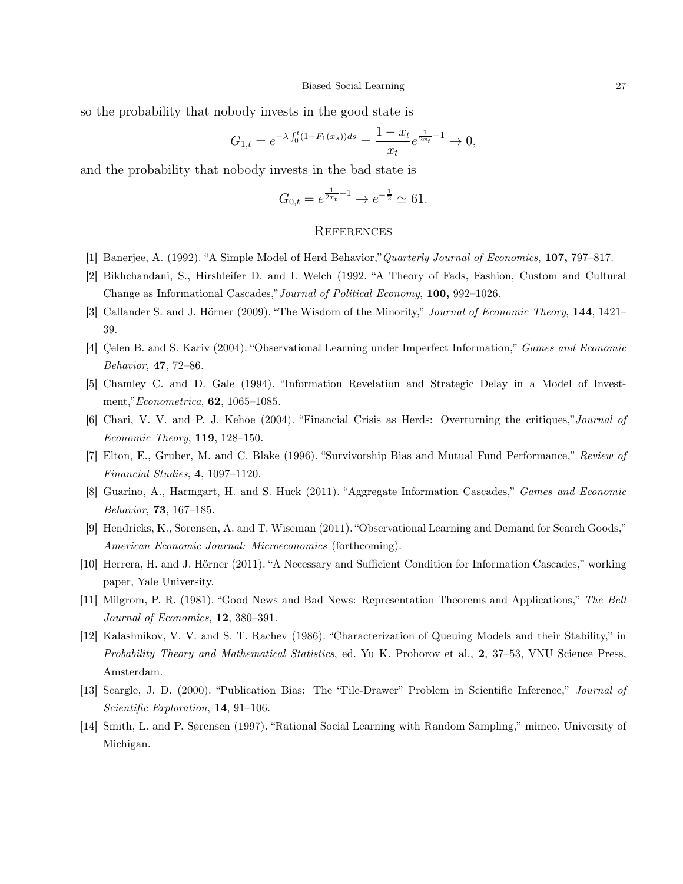so the probability that nobody invests in the good state is

$$
G_{1,t} = e^{-\lambda \int_0^t (1 - F_1(x_s))ds} = \frac{1 - x_t}{x_t} e^{\frac{1}{2x_t} - 1} \to 0,
$$

and the probability that nobody invests in the bad state is

$$
G_{0,t}=e^{\frac{1}{2x_t}-1}\to e^{-\frac{1}{2}}\simeq 61.
$$

#### **REFERENCES**

- [1] Banerjee, A. (1992). "A Simple Model of Herd Behavior,"Quarterly Journal of Economics, 107, 797–817.
- [2] Bikhchandani, S., Hirshleifer D. and I. Welch (1992. "A Theory of Fads, Fashion, Custom and Cultural Change as Informational Cascades,"Journal of Political Economy, 100, 992–1026.
- [3] Callander S. and J. Hörner (2009). "The Wisdom of the Minority," Journal of Economic Theory, 144, 1421– 39.
- [4] Çelen B. and S. Kariv (2004). "Observational Learning under Imperfect Information," Games and Economic Behavior, 47, 72–86.
- [5] Chamley C. and D. Gale (1994). "Information Revelation and Strategic Delay in a Model of Investment,"Econometrica, 62, 1065–1085.
- [6] Chari, V. V. and P. J. Kehoe (2004). "Financial Crisis as Herds: Overturning the critiques,"Journal of Economic Theory, 119, 128–150.
- [7] Elton, E., Gruber, M. and C. Blake (1996). "Survivorship Bias and Mutual Fund Performance," Review of Financial Studies, 4, 1097–1120.
- [8] Guarino, A., Harmgart, H. and S. Huck (2011). "Aggregate Information Cascades," Games and Economic Behavior, 73, 167–185.
- [9] Hendricks, K., Sorensen, A. and T. Wiseman (2011). "Observational Learning and Demand for Search Goods," American Economic Journal: Microeconomics (forthcoming).
- [10] Herrera, H. and J. Hörner (2011). "A Necessary and Sufficient Condition for Information Cascades," working paper, Yale University.
- [11] Milgrom, P. R. (1981). "Good News and Bad News: Representation Theorems and Applications," The Bell Journal of Economics, 12, 380-391.
- [12] Kalashnikov, V. V. and S. T. Rachev (1986). "Characterization of Queuing Models and their Stability," in Probability Theory and Mathematical Statistics, ed. Yu K. Prohorov et al., 2, 37–53, VNU Science Press, Amsterdam.
- [13] Scargle, J. D. (2000). "Publication Bias: The "File-Drawer" Problem in Scientific Inference," Journal of Scientific Exploration, 14, 91–106.
- [14] Smith, L. and P. Sørensen (1997). "Rational Social Learning with Random Sampling," mimeo, University of Michigan.